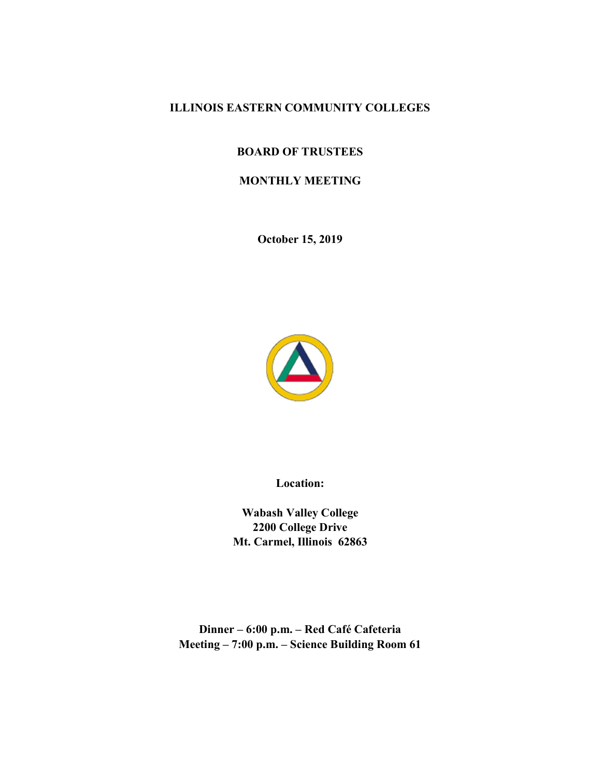# ILLINOIS EASTERN COMMUNITY COLLEGES

# BOARD OF TRUSTEES

# MONTHLY MEETING

October 15, 2019



Location:

Wabash Valley College 2200 College Drive Mt. Carmel, Illinois 62863

Dinner – 6:00 p.m. – Red Café Cafeteria Meeting – 7:00 p.m. – Science Building Room 61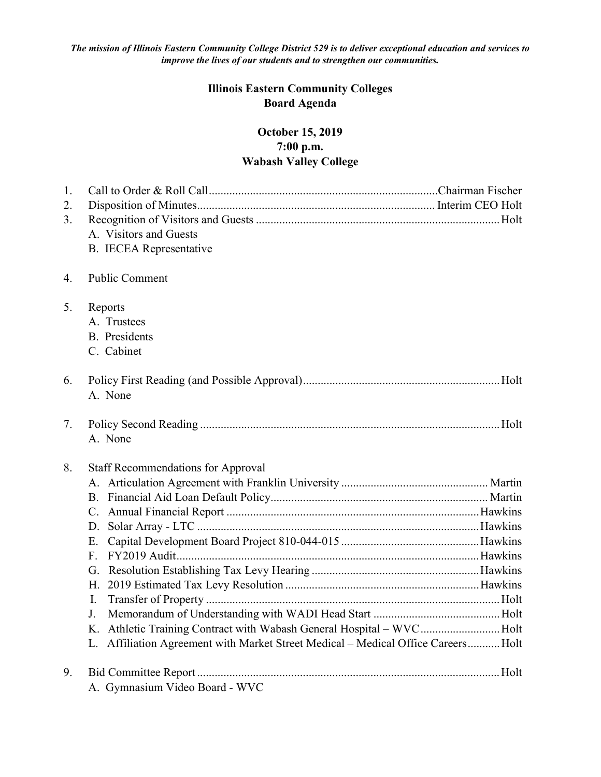The mission of Illinois Eastern Community College District 529 is to deliver exceptional education and services to improve the lives of our students and to strengthen our communities.

# Illinois Eastern Community Colleges Board Agenda

# October 15, 2019 7:00 p.m. Wabash Valley College

| 1. |                                                                                      |  |
|----|--------------------------------------------------------------------------------------|--|
| 2. |                                                                                      |  |
| 3. |                                                                                      |  |
|    | A. Visitors and Guests                                                               |  |
|    | <b>B.</b> IECEA Representative                                                       |  |
|    |                                                                                      |  |
| 4. | Public Comment                                                                       |  |
|    |                                                                                      |  |
| 5. | Reports<br>A. Trustees                                                               |  |
|    | <b>B.</b> Presidents                                                                 |  |
|    |                                                                                      |  |
|    | C. Cabinet                                                                           |  |
| 6. |                                                                                      |  |
|    | A. None                                                                              |  |
|    |                                                                                      |  |
| 7. |                                                                                      |  |
|    | A. None                                                                              |  |
|    |                                                                                      |  |
| 8. | <b>Staff Recommendations for Approval</b>                                            |  |
|    |                                                                                      |  |
|    |                                                                                      |  |
|    |                                                                                      |  |
|    | D.                                                                                   |  |
|    | Е.                                                                                   |  |
|    | F.                                                                                   |  |
|    | G.                                                                                   |  |
|    | Η.                                                                                   |  |
|    | I.                                                                                   |  |
|    | J.                                                                                   |  |
|    | K. Athletic Training Contract with Wabash General Hospital - WVCHolt                 |  |
|    | Affiliation Agreement with Market Street Medical - Medical Office Careers Holt<br>L. |  |
| 9. |                                                                                      |  |
|    | A. Gymnasium Video Board - WVC                                                       |  |
|    |                                                                                      |  |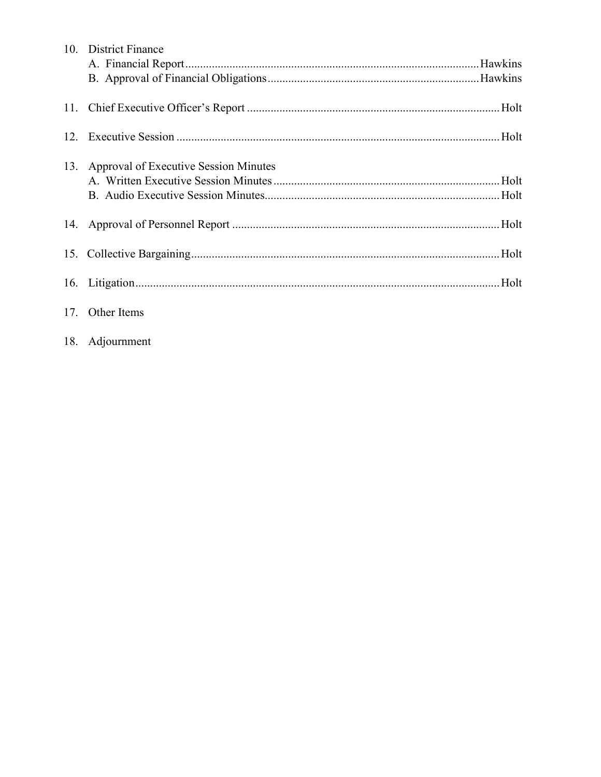| 10. District Finance                      |
|-------------------------------------------|
|                                           |
|                                           |
|                                           |
|                                           |
|                                           |
|                                           |
| 13. Approval of Executive Session Minutes |
|                                           |
|                                           |
|                                           |
|                                           |
|                                           |
|                                           |
|                                           |
|                                           |
| 17. Other Items                           |
|                                           |

18. Adjournment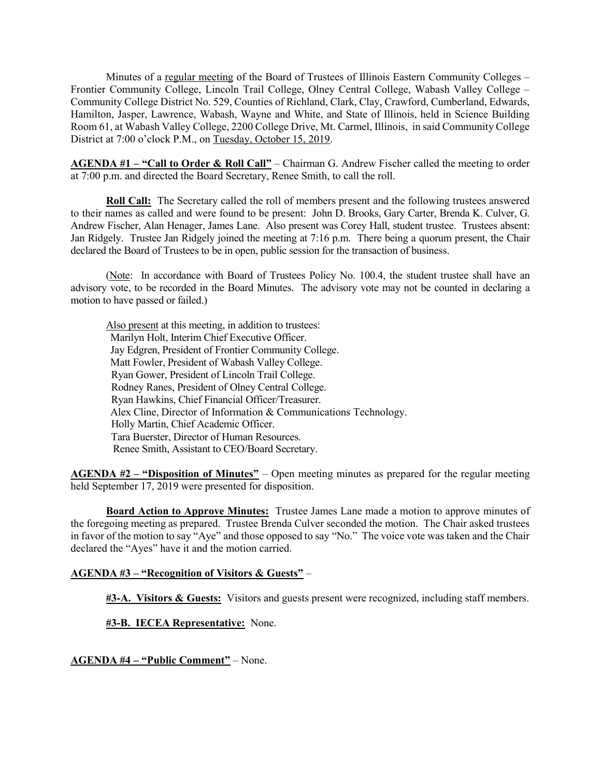Minutes of a regular meeting of the Board of Trustees of Illinois Eastern Community Colleges – Frontier Community College, Lincoln Trail College, Olney Central College, Wabash Valley College – Community College District No. 529, Counties of Richland, Clark, Clay, Crawford, Cumberland, Edwards, Hamilton, Jasper, Lawrence, Wabash, Wayne and White, and State of Illinois, held in Science Building Room 61, at Wabash Valley College, 2200 College Drive, Mt. Carmel, Illinois, in said Community College District at 7:00 o'clock P.M., on Tuesday, October 15, 2019.

AGENDA #1 – "Call to Order & Roll Call" – Chairman G. Andrew Fischer called the meeting to order at 7:00 p.m. and directed the Board Secretary, Renee Smith, to call the roll.

Roll Call: The Secretary called the roll of members present and the following trustees answered to their names as called and were found to be present: John D. Brooks, Gary Carter, Brenda K. Culver, G. Andrew Fischer, Alan Henager, James Lane. Also present was Corey Hall, student trustee. Trustees absent: Jan Ridgely. Trustee Jan Ridgely joined the meeting at 7:16 p.m. There being a quorum present, the Chair declared the Board of Trustees to be in open, public session for the transaction of business.

 (Note: In accordance with Board of Trustees Policy No. 100.4, the student trustee shall have an advisory vote, to be recorded in the Board Minutes. The advisory vote may not be counted in declaring a motion to have passed or failed.)

 Also present at this meeting, in addition to trustees: Marilyn Holt, Interim Chief Executive Officer. Jay Edgren, President of Frontier Community College. Matt Fowler, President of Wabash Valley College. Ryan Gower, President of Lincoln Trail College. Rodney Ranes, President of Olney Central College. Ryan Hawkins, Chief Financial Officer/Treasurer. Alex Cline, Director of Information & Communications Technology. Holly Martin, Chief Academic Officer. Tara Buerster, Director of Human Resources. Renee Smith, Assistant to CEO/Board Secretary.

**AGENDA #2** – "Disposition of Minutes" – Open meeting minutes as prepared for the regular meeting held September 17, 2019 were presented for disposition.

**Board Action to Approve Minutes:** Trustee James Lane made a motion to approve minutes of the foregoing meeting as prepared. Trustee Brenda Culver seconded the motion. The Chair asked trustees in favor of the motion to say "Aye" and those opposed to say "No." The voice vote was taken and the Chair declared the "Ayes" have it and the motion carried.

# AGENDA #3 – "Recognition of Visitors & Guests" –

**#3-A. Visitors & Guests:** Visitors and guests present were recognized, including staff members.

#3-B. IECEA Representative: None.

AGENDA #4 – "Public Comment" – None.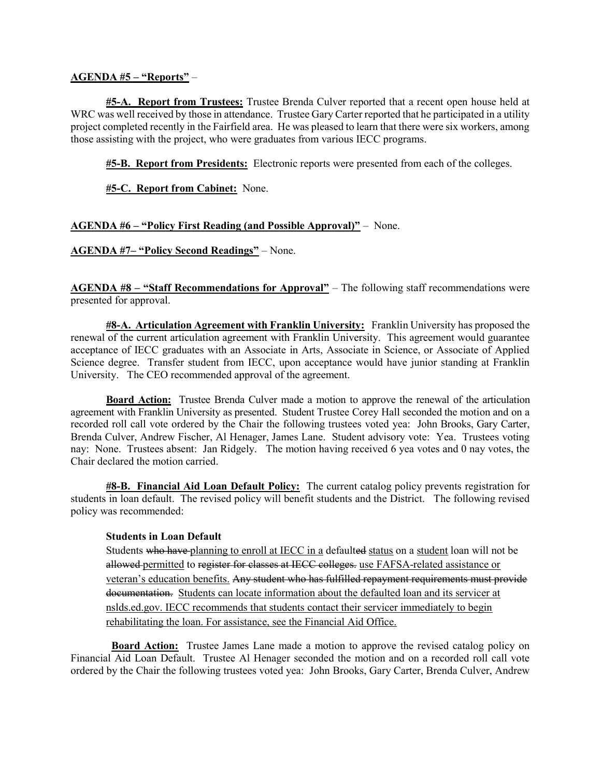### AGENDA #5 – "Reports" –

#5-A. Report from Trustees: Trustee Brenda Culver reported that a recent open house held at WRC was well received by those in attendance. Trustee Gary Carter reported that he participated in a utility project completed recently in the Fairfield area. He was pleased to learn that there were six workers, among those assisting with the project, who were graduates from various IECC programs.

#5-B. Report from Presidents: Electronic reports were presented from each of the colleges.

**#5-C. Report from Cabinet:** None.

## AGENDA #6 – "Policy First Reading (and Possible Approval)" – None.

AGENDA #7– "Policy Second Readings" – None.

AGENDA #8 – "Staff Recommendations for Approval" – The following staff recommendations were presented for approval.

#8-A. Articulation Agreement with Franklin University: Franklin University has proposed the renewal of the current articulation agreement with Franklin University. This agreement would guarantee acceptance of IECC graduates with an Associate in Arts, Associate in Science, or Associate of Applied Science degree. Transfer student from IECC, upon acceptance would have junior standing at Franklin University. The CEO recommended approval of the agreement.

**Board Action:** Trustee Brenda Culver made a motion to approve the renewal of the articulation agreement with Franklin University as presented. Student Trustee Corey Hall seconded the motion and on a recorded roll call vote ordered by the Chair the following trustees voted yea: John Brooks, Gary Carter, Brenda Culver, Andrew Fischer, Al Henager, James Lane. Student advisory vote: Yea. Trustees voting nay: None. Trustees absent: Jan Ridgely. The motion having received 6 yea votes and 0 nay votes, the Chair declared the motion carried.

**#8-B. Financial Aid Loan Default Policy:** The current catalog policy prevents registration for students in loan default. The revised policy will benefit students and the District. The following revised policy was recommended:

### Students in Loan Default

Students who have planning to enroll at IECC in a defaulted status on a student loan will not be allowed permitted to register for classes at IECC colleges. use FAFSA-related assistance or veteran's education benefits. Any student who has fulfilled repayment requirements must provide documentation. Students can locate information about the defaulted loan and its servicer at nslds.ed.gov. IECC recommends that students contact their servicer immediately to begin rehabilitating the loan. For assistance, see the Financial Aid Office.

 Board Action: Trustee James Lane made a motion to approve the revised catalog policy on Financial Aid Loan Default. Trustee Al Henager seconded the motion and on a recorded roll call vote ordered by the Chair the following trustees voted yea: John Brooks, Gary Carter, Brenda Culver, Andrew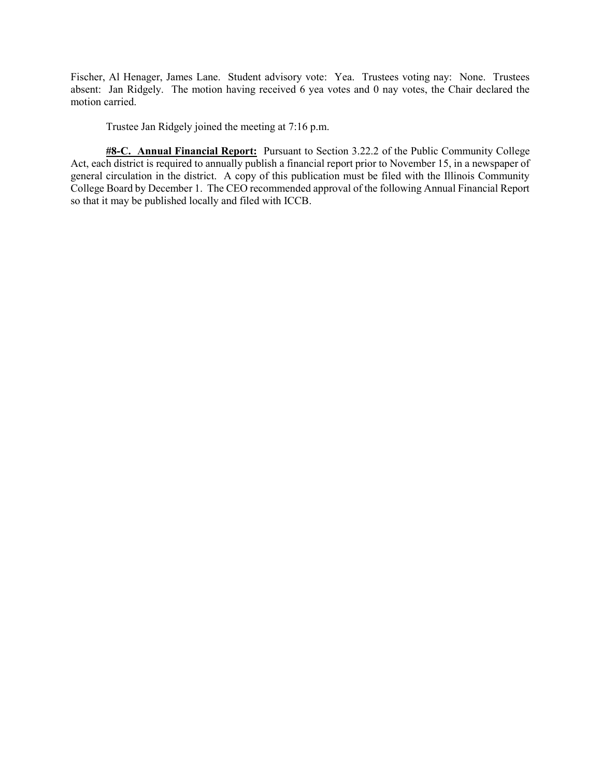Fischer, Al Henager, James Lane. Student advisory vote: Yea. Trustees voting nay: None. Trustees absent: Jan Ridgely. The motion having received 6 yea votes and 0 nay votes, the Chair declared the motion carried.

Trustee Jan Ridgely joined the meeting at 7:16 p.m.

#8-C. Annual Financial Report: Pursuant to Section 3.22.2 of the Public Community College Act, each district is required to annually publish a financial report prior to November 15, in a newspaper of general circulation in the district. A copy of this publication must be filed with the Illinois Community College Board by December 1. The CEO recommended approval of the following Annual Financial Report so that it may be published locally and filed with ICCB.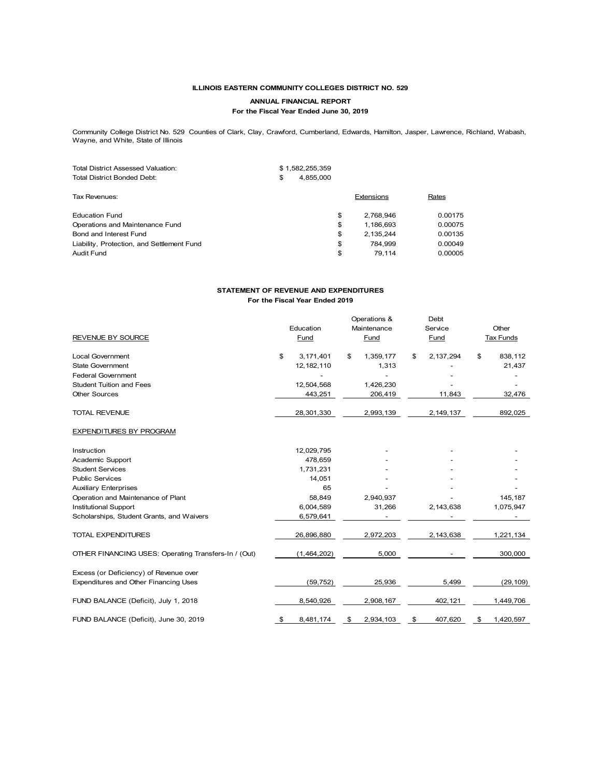#### ILLINOIS EASTERN COMMUNITY COLLEGES DISTRICT NO. 529

#### ANNUAL FINANCIAL REPORT

#### For the Fiscal Year Ended June 30, 2019

|                                                                                                                                                                                 | ILLINOIS EASTERN COMMUNITY COLLEGES DISTRICT NO. 529 |            |         |  |
|---------------------------------------------------------------------------------------------------------------------------------------------------------------------------------|------------------------------------------------------|------------|---------|--|
|                                                                                                                                                                                 | ANNUAL FINANCIAL REPORT                              |            |         |  |
|                                                                                                                                                                                 | For the Fiscal Year Ended June 30, 2019              |            |         |  |
| Community College District No. 529 Counties of Clark, Clay, Crawford, Cumberland, Edwards, Hamilton, Jasper, Lawrence, Richland, Wabash,<br>Wayne, and White, State of Illinois |                                                      |            |         |  |
|                                                                                                                                                                                 |                                                      |            |         |  |
| <b>Total District Assessed Valuation:</b>                                                                                                                                       | \$1,582,255,359                                      |            |         |  |
|                                                                                                                                                                                 |                                                      |            |         |  |
| <b>Total District Bonded Debt:</b>                                                                                                                                              | 4,855,000<br>\$                                      |            |         |  |
| Tax Revenues:                                                                                                                                                                   |                                                      | Extensions | Rates   |  |
| <b>Education Fund</b>                                                                                                                                                           | \$                                                   | 2,768,946  | 0.00175 |  |
| Operations and Maintenance Fund                                                                                                                                                 | \$                                                   | 1,186,693  | 0.00075 |  |
| Bond and Interest Fund                                                                                                                                                          | \$                                                   | 2,135,244  | 0.00135 |  |
|                                                                                                                                                                                 | \$                                                   | 784,999    | 0.00049 |  |
| Liability, Protection, and Settlement Fund<br><b>Audit Fund</b>                                                                                                                 | \$                                                   | 79,114     | 0.00005 |  |
|                                                                                                                                                                                 |                                                      |            |         |  |

#### STATEMENT OF REVENUE AND EXPENDITURES For the Fiscal Year Ended 2019

| Community College District No. 529 Counties of Clark, Clay, Crawford, Cumberland, Edwards, Hamilton, Jasper, Lawrence, Richland, Wabash,<br>Wayne, and White, State of Illinois<br>Total District Assessed Valuation:<br><b>Total District Bonded Debt:</b><br>Tax Revenues:<br><b>Education Fund</b><br>Operations and Maintenance Fund<br>Bond and Interest Fund<br>Liability, Protection, and Settlement Fund<br><b>Audit Fund</b> | \$                                                                      | \$1,582,255,359<br>4,855,000           | Extensions<br>\$<br>2,768,946<br>\$<br>1,186,693<br>\$<br>2,135,244 | Rates                                               |                                                      |
|---------------------------------------------------------------------------------------------------------------------------------------------------------------------------------------------------------------------------------------------------------------------------------------------------------------------------------------------------------------------------------------------------------------------------------------|-------------------------------------------------------------------------|----------------------------------------|---------------------------------------------------------------------|-----------------------------------------------------|------------------------------------------------------|
|                                                                                                                                                                                                                                                                                                                                                                                                                                       |                                                                         |                                        |                                                                     |                                                     |                                                      |
|                                                                                                                                                                                                                                                                                                                                                                                                                                       |                                                                         |                                        |                                                                     |                                                     |                                                      |
|                                                                                                                                                                                                                                                                                                                                                                                                                                       |                                                                         |                                        |                                                                     |                                                     |                                                      |
|                                                                                                                                                                                                                                                                                                                                                                                                                                       |                                                                         |                                        | \$<br>784,999<br>\$<br>79,114                                       | 0.00175<br>0.00075<br>0.00135<br>0.00049<br>0.00005 |                                                      |
|                                                                                                                                                                                                                                                                                                                                                                                                                                       | STATEMENT OF REVENUE AND EXPENDITURES<br>For the Fiscal Year Ended 2019 |                                        |                                                                     |                                                     |                                                      |
|                                                                                                                                                                                                                                                                                                                                                                                                                                       |                                                                         | Education                              | Operations &<br>Maintenance                                         | Debt<br>Service                                     | Other                                                |
| REVENUE BY SOURCE                                                                                                                                                                                                                                                                                                                                                                                                                     |                                                                         | <b>Fund</b>                            | Fund                                                                | <b>Fund</b>                                         | <b>Tax Funds</b>                                     |
| Local Government                                                                                                                                                                                                                                                                                                                                                                                                                      | \$                                                                      | 3, 171, 401                            | 1,359,177<br>\$                                                     | \$<br>2, 137, 294                                   | \$<br>838,112                                        |
| <b>State Government</b>                                                                                                                                                                                                                                                                                                                                                                                                               |                                                                         | 12, 182, 110                           | 1,313                                                               |                                                     | 21,437                                               |
| <b>Federal Government</b><br><b>Student Tuition and Fees</b>                                                                                                                                                                                                                                                                                                                                                                          |                                                                         | $\overline{\phantom{a}}$<br>12,504,568 | $\overline{\phantom{a}}$<br>1,426,230                               | $\overline{\phantom{a}}$                            | $\overline{\phantom{a}}$<br>$\overline{\phantom{a}}$ |
| <b>Other Sources</b>                                                                                                                                                                                                                                                                                                                                                                                                                  |                                                                         | 443,251                                | 206,419                                                             | 11,843                                              | 32,476                                               |
| TOTAL REVENUE                                                                                                                                                                                                                                                                                                                                                                                                                         |                                                                         | 28,301,330                             | 2,993,139                                                           | 2, 149, 137                                         | 892,025                                              |
| <b>EXPENDITURES BY PROGRAM</b>                                                                                                                                                                                                                                                                                                                                                                                                        |                                                                         |                                        |                                                                     |                                                     |                                                      |
|                                                                                                                                                                                                                                                                                                                                                                                                                                       |                                                                         |                                        |                                                                     |                                                     |                                                      |
| Instruction<br>Academic Support                                                                                                                                                                                                                                                                                                                                                                                                       |                                                                         | 12,029,795<br>478,659                  |                                                                     |                                                     |                                                      |
| <b>Student Services</b>                                                                                                                                                                                                                                                                                                                                                                                                               |                                                                         | 1,731,231                              |                                                                     |                                                     |                                                      |
| <b>Public Services</b>                                                                                                                                                                                                                                                                                                                                                                                                                |                                                                         | 14,051                                 |                                                                     |                                                     |                                                      |
| <b>Auxiliary Enterprises</b>                                                                                                                                                                                                                                                                                                                                                                                                          |                                                                         | 65                                     |                                                                     |                                                     |                                                      |
| Operation and Maintenance of Plant                                                                                                                                                                                                                                                                                                                                                                                                    |                                                                         | 58,849                                 | 2,940,937                                                           |                                                     | 145,187                                              |
| Institutional Support<br>Scholarships, Student Grants, and Waivers                                                                                                                                                                                                                                                                                                                                                                    |                                                                         | 6,004,589<br>6,579,641                 | 31,266                                                              | 2,143,638                                           | 1,075,947                                            |
| TOTAL EXPENDITURES                                                                                                                                                                                                                                                                                                                                                                                                                    |                                                                         | 26,896,880                             | 2,972,203                                                           | 2,143,638                                           | 1,221,134                                            |
| OTHER FINANCING USES: Operating Transfers-In / (Out)                                                                                                                                                                                                                                                                                                                                                                                  |                                                                         | (1,464,202)                            | 5,000                                                               | $\overline{\phantom{a}}$                            | 300,000                                              |
| Excess (or Deficiency) of Revenue over                                                                                                                                                                                                                                                                                                                                                                                                |                                                                         |                                        |                                                                     |                                                     |                                                      |
| Expenditures and Other Financing Uses                                                                                                                                                                                                                                                                                                                                                                                                 |                                                                         | (59, 752)                              | 25,936                                                              | 5,499                                               | (29, 109)                                            |
| FUND BALANCE (Deficit), July 1, 2018                                                                                                                                                                                                                                                                                                                                                                                                  |                                                                         | 8,540,926                              | 2,908,167                                                           | 402,121                                             | 1,449,706                                            |
| FUND BALANCE (Deficit), June 30, 2019                                                                                                                                                                                                                                                                                                                                                                                                 | - \$                                                                    | 8,481,174                              | 2,934,103<br>\$                                                     | \$<br>407,620                                       | 1,420,597<br>\$                                      |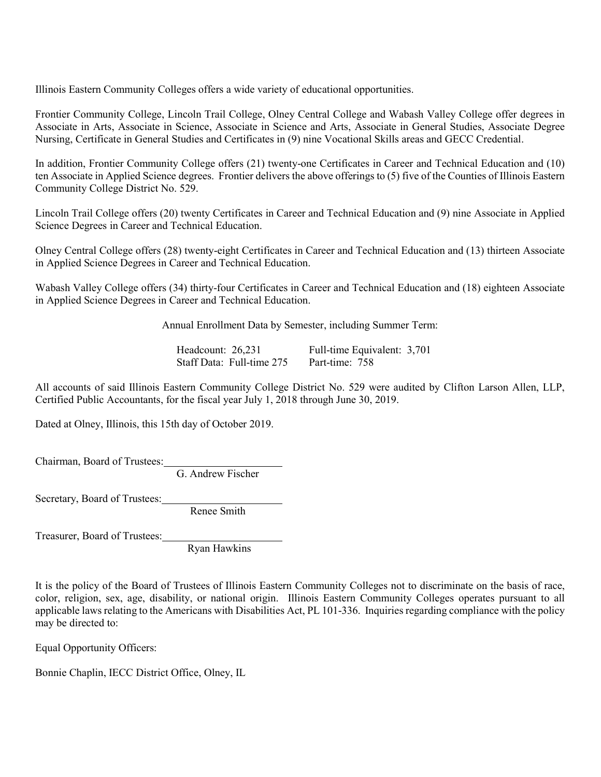Illinois Eastern Community Colleges offers a wide variety of educational opportunities.

Frontier Community College, Lincoln Trail College, Olney Central College and Wabash Valley College offer degrees in Associate in Arts, Associate in Science, Associate in Science and Arts, Associate in General Studies, Associate Degree Nursing, Certificate in General Studies and Certificates in (9) nine Vocational Skills areas and GECC Credential.

In addition, Frontier Community College offers (21) twenty-one Certificates in Career and Technical Education and (10) ten Associate in Applied Science degrees. Frontier delivers the above offerings to (5) five of the Counties of Illinois Eastern Community College District No. 529.

Lincoln Trail College offers (20) twenty Certificates in Career and Technical Education and (9) nine Associate in Applied Science Degrees in Career and Technical Education.

Olney Central College offers (28) twenty-eight Certificates in Career and Technical Education and (13) thirteen Associate in Applied Science Degrees in Career and Technical Education.

Wabash Valley College offers (34) thirty-four Certificates in Career and Technical Education and (18) eighteen Associate in Applied Science Degrees in Career and Technical Education.

Annual Enrollment Data by Semester, including Summer Term:

Headcount: 26,231 Full-time Equivalent: 3,701<br>Staff Data: Full-time 275 Part-time: 758 Staff Data: Full-time 275

All accounts of said Illinois Eastern Community College District No. 529 were audited by Clifton Larson Allen, LLP, Certified Public Accountants, for the fiscal year July 1, 2018 through June 30, 2019.

Dated at Olney, Illinois, this 15th day of October 2019.

Chairman, Board of Trustees:

G. Andrew Fischer

Secretary, Board of Trustees:

Renee Smith

Treasurer, Board of Trustees:

Ryan Hawkins

It is the policy of the Board of Trustees of Illinois Eastern Community Colleges not to discriminate on the basis of race, color, religion, sex, age, disability, or national origin. Illinois Eastern Community Colleges operates pursuant to all applicable laws relating to the Americans with Disabilities Act, PL 101-336. Inquiries regarding compliance with the policy may be directed to:

Equal Opportunity Officers:

Bonnie Chaplin, IECC District Office, Olney, IL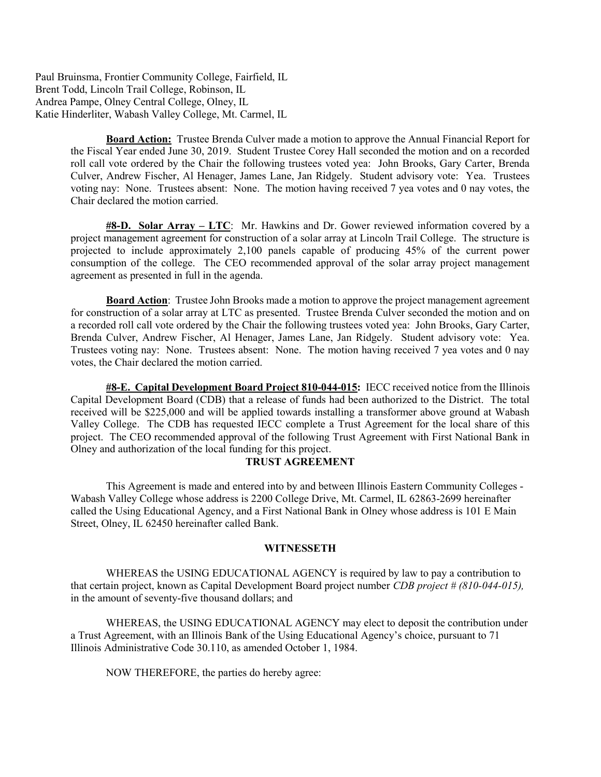Paul Bruinsma, Frontier Community College, Fairfield, IL Brent Todd, Lincoln Trail College, Robinson, IL Andrea Pampe, Olney Central College, Olney, IL Katie Hinderliter, Wabash Valley College, Mt. Carmel, IL

> Board Action: Trustee Brenda Culver made a motion to approve the Annual Financial Report for the Fiscal Year ended June 30, 2019. Student Trustee Corey Hall seconded the motion and on a recorded roll call vote ordered by the Chair the following trustees voted yea: John Brooks, Gary Carter, Brenda Culver, Andrew Fischer, Al Henager, James Lane, Jan Ridgely. Student advisory vote: Yea. Trustees voting nay: None. Trustees absent: None. The motion having received 7 yea votes and 0 nay votes, the Chair declared the motion carried.

> $\frac{\text{#8-D. Solar Array} - \text{LTC:}}{m}$  Mr. Hawkins and Dr. Gower reviewed information covered by a project management agreement for construction of a solar array at Lincoln Trail College. The structure is projected to include approximately 2,100 panels capable of producing 45% of the current power consumption of the college. The CEO recommended approval of the solar array project management agreement as presented in full in the agenda.

> **Board Action:** Trustee John Brooks made a motion to approve the project management agreement for construction of a solar array at LTC as presented. Trustee Brenda Culver seconded the motion and on a recorded roll call vote ordered by the Chair the following trustees voted yea: John Brooks, Gary Carter, Brenda Culver, Andrew Fischer, Al Henager, James Lane, Jan Ridgely. Student advisory vote: Yea. Trustees voting nay: None. Trustees absent: None. The motion having received 7 yea votes and 0 nay votes, the Chair declared the motion carried.

> #8-E. Capital Development Board Project 810-044-015: IECC received notice from the Illinois Capital Development Board (CDB) that a release of funds had been authorized to the District. The total received will be \$225,000 and will be applied towards installing a transformer above ground at Wabash Valley College. The CDB has requested IECC complete a Trust Agreement for the local share of this project. The CEO recommended approval of the following Trust Agreement with First National Bank in Olney and authorization of the local funding for this project.

### TRUST AGREEMENT

This Agreement is made and entered into by and between Illinois Eastern Community Colleges - Wabash Valley College whose address is 2200 College Drive, Mt. Carmel, IL 62863-2699 hereinafter called the Using Educational Agency, and a First National Bank in Olney whose address is 101 E Main Street, Olney, IL 62450 hereinafter called Bank.

### **WITNESSETH**

WHEREAS the USING EDUCATIONAL AGENCY is required by law to pay a contribution to that certain project, known as Capital Development Board project number CDB project # (810-044-015), in the amount of seventy-five thousand dollars; and

WHEREAS, the USING EDUCATIONAL AGENCY may elect to deposit the contribution under a Trust Agreement, with an Illinois Bank of the Using Educational Agency's choice, pursuant to 71 Illinois Administrative Code 30.110, as amended October 1, 1984.

NOW THEREFORE, the parties do hereby agree: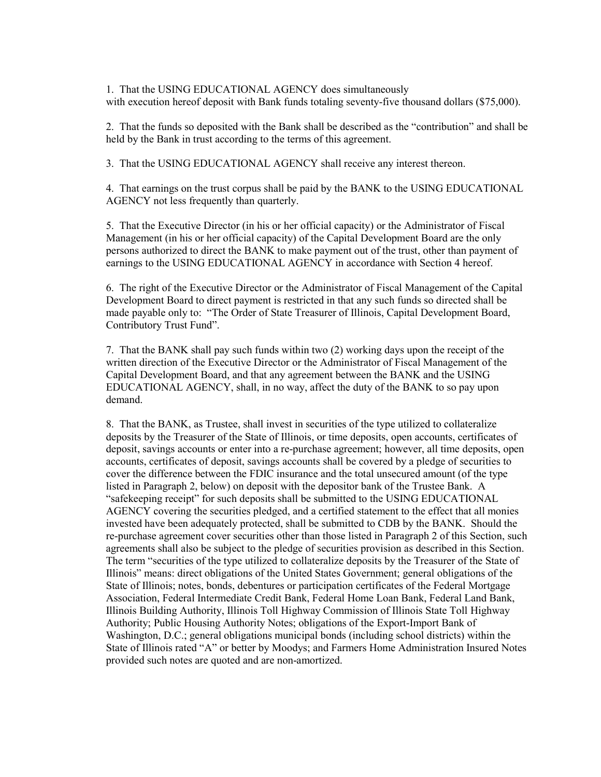1. That the USING EDUCATIONAL AGENCY does simultaneously with execution hereof deposit with Bank funds totaling seventy-five thousand dollars (\$75,000).

2. That the funds so deposited with the Bank shall be described as the "contribution" and shall be held by the Bank in trust according to the terms of this agreement.

3. That the USING EDUCATIONAL AGENCY shall receive any interest thereon.

4. That earnings on the trust corpus shall be paid by the BANK to the USING EDUCATIONAL AGENCY not less frequently than quarterly.

5. That the Executive Director (in his or her official capacity) or the Administrator of Fiscal Management (in his or her official capacity) of the Capital Development Board are the only persons authorized to direct the BANK to make payment out of the trust, other than payment of earnings to the USING EDUCATIONAL AGENCY in accordance with Section 4 hereof.

6. The right of the Executive Director or the Administrator of Fiscal Management of the Capital Development Board to direct payment is restricted in that any such funds so directed shall be made payable only to: "The Order of State Treasurer of Illinois, Capital Development Board, Contributory Trust Fund".

7. That the BANK shall pay such funds within two (2) working days upon the receipt of the written direction of the Executive Director or the Administrator of Fiscal Management of the Capital Development Board, and that any agreement between the BANK and the USING EDUCATIONAL AGENCY, shall, in no way, affect the duty of the BANK to so pay upon demand.

8. That the BANK, as Trustee, shall invest in securities of the type utilized to collateralize deposits by the Treasurer of the State of Illinois, or time deposits, open accounts, certificates of deposit, savings accounts or enter into a re-purchase agreement; however, all time deposits, open accounts, certificates of deposit, savings accounts shall be covered by a pledge of securities to cover the difference between the FDIC insurance and the total unsecured amount (of the type listed in Paragraph 2, below) on deposit with the depositor bank of the Trustee Bank. A "safekeeping receipt" for such deposits shall be submitted to the USING EDUCATIONAL AGENCY covering the securities pledged, and a certified statement to the effect that all monies invested have been adequately protected, shall be submitted to CDB by the BANK. Should the re-purchase agreement cover securities other than those listed in Paragraph 2 of this Section, such agreements shall also be subject to the pledge of securities provision as described in this Section. The term "securities of the type utilized to collateralize deposits by the Treasurer of the State of Illinois" means: direct obligations of the United States Government; general obligations of the State of Illinois; notes, bonds, debentures or participation certificates of the Federal Mortgage Association, Federal Intermediate Credit Bank, Federal Home Loan Bank, Federal Land Bank, Illinois Building Authority, Illinois Toll Highway Commission of Illinois State Toll Highway Authority; Public Housing Authority Notes; obligations of the Export-Import Bank of Washington, D.C.; general obligations municipal bonds (including school districts) within the State of Illinois rated "A" or better by Moodys; and Farmers Home Administration Insured Notes provided such notes are quoted and are non-amortized.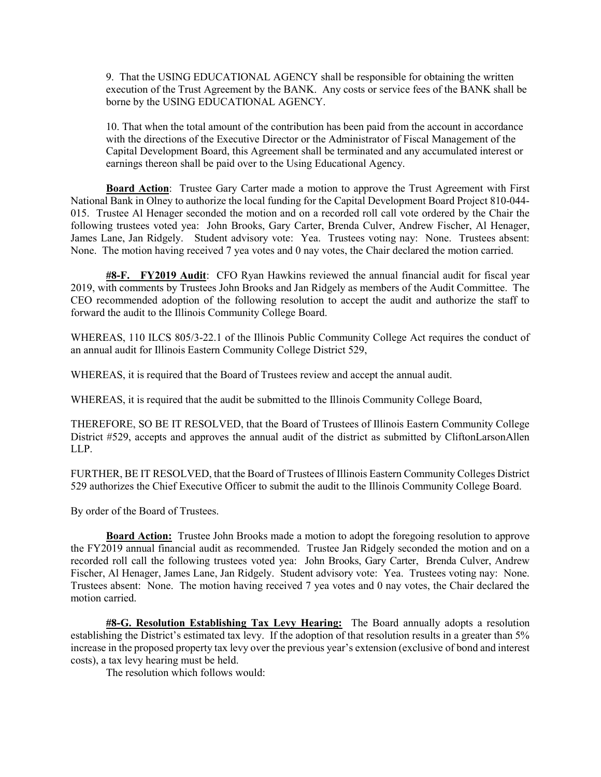9. That the USING EDUCATIONAL AGENCY shall be responsible for obtaining the written execution of the Trust Agreement by the BANK. Any costs or service fees of the BANK shall be borne by the USING EDUCATIONAL AGENCY.

10. That when the total amount of the contribution has been paid from the account in accordance with the directions of the Executive Director or the Administrator of Fiscal Management of the Capital Development Board, this Agreement shall be terminated and any accumulated interest or earnings thereon shall be paid over to the Using Educational Agency.

**Board Action:** Trustee Gary Carter made a motion to approve the Trust Agreement with First National Bank in Olney to authorize the local funding for the Capital Development Board Project 810-044- 015. Trustee Al Henager seconded the motion and on a recorded roll call vote ordered by the Chair the following trustees voted yea: John Brooks, Gary Carter, Brenda Culver, Andrew Fischer, Al Henager, James Lane, Jan Ridgely. Student advisory vote: Yea. Trustees voting nay: None. Trustees absent: None. The motion having received 7 yea votes and 0 nay votes, the Chair declared the motion carried.

#8-F. FY2019 Audit: CFO Ryan Hawkins reviewed the annual financial audit for fiscal year 2019, with comments by Trustees John Brooks and Jan Ridgely as members of the Audit Committee. The CEO recommended adoption of the following resolution to accept the audit and authorize the staff to forward the audit to the Illinois Community College Board.

WHEREAS, 110 ILCS 805/3-22.1 of the Illinois Public Community College Act requires the conduct of an annual audit for Illinois Eastern Community College District 529,

WHEREAS, it is required that the Board of Trustees review and accept the annual audit.

WHEREAS, it is required that the audit be submitted to the Illinois Community College Board,

THEREFORE, SO BE IT RESOLVED, that the Board of Trustees of Illinois Eastern Community College District #529, accepts and approves the annual audit of the district as submitted by CliftonLarsonAllen LLP.

FURTHER, BE IT RESOLVED, that the Board of Trustees of Illinois Eastern Community Colleges District 529 authorizes the Chief Executive Officer to submit the audit to the Illinois Community College Board.

By order of the Board of Trustees.

Board Action: Trustee John Brooks made a motion to adopt the foregoing resolution to approve the FY2019 annual financial audit as recommended. Trustee Jan Ridgely seconded the motion and on a recorded roll call the following trustees voted yea: John Brooks, Gary Carter, Brenda Culver, Andrew Fischer, Al Henager, James Lane, Jan Ridgely. Student advisory vote: Yea. Trustees voting nay: None. Trustees absent: None. The motion having received 7 yea votes and 0 nay votes, the Chair declared the motion carried.

#8-G. Resolution Establishing Tax Levy Hearing: The Board annually adopts a resolution establishing the District's estimated tax levy. If the adoption of that resolution results in a greater than 5% increase in the proposed property tax levy over the previous year's extension (exclusive of bond and interest costs), a tax levy hearing must be held.

The resolution which follows would: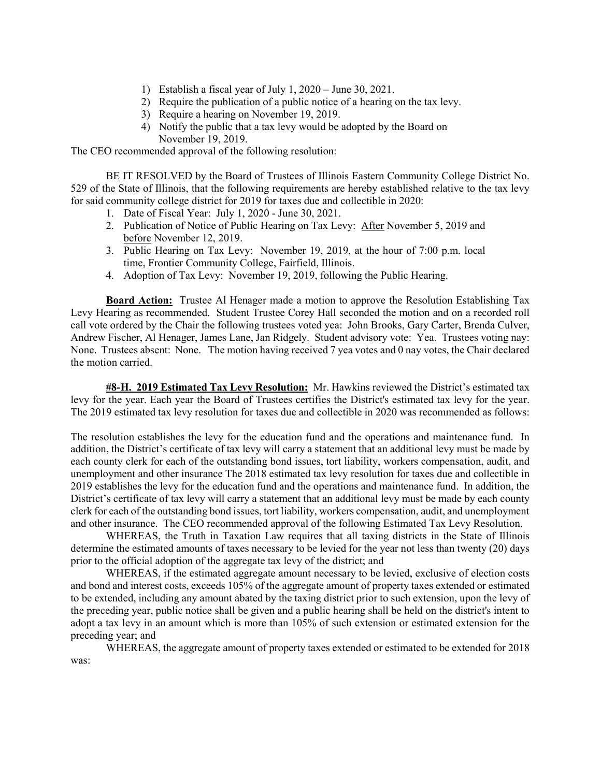- 1) Establish a fiscal year of July 1, 2020 June 30, 2021.
- 2) Require the publication of a public notice of a hearing on the tax levy.
- 3) Require a hearing on November 19, 2019.
- 4) Notify the public that a tax levy would be adopted by the Board on November 19, 2019.

The CEO recommended approval of the following resolution:

BE IT RESOLVED by the Board of Trustees of Illinois Eastern Community College District No. 529 of the State of Illinois, that the following requirements are hereby established relative to the tax levy for said community college district for 2019 for taxes due and collectible in 2020:

- 1. Date of Fiscal Year: July 1, 2020 June 30, 2021.
- 2. Publication of Notice of Public Hearing on Tax Levy: After November 5, 2019 and before November 12, 2019.
- 3. Public Hearing on Tax Levy: November 19, 2019, at the hour of 7:00 p.m. local time, Frontier Community College, Fairfield, Illinois.
- 4. Adoption of Tax Levy: November 19, 2019, following the Public Hearing.

**Board Action:** Trustee Al Henager made a motion to approve the Resolution Establishing Tax Levy Hearing as recommended. Student Trustee Corey Hall seconded the motion and on a recorded roll call vote ordered by the Chair the following trustees voted yea: John Brooks, Gary Carter, Brenda Culver, Andrew Fischer, Al Henager, James Lane, Jan Ridgely. Student advisory vote: Yea. Trustees voting nay: None. Trustees absent: None. The motion having received 7 yea votes and 0 nay votes, the Chair declared the motion carried.

#8-H. 2019 Estimated Tax Levy Resolution: Mr. Hawkins reviewed the District's estimated tax levy for the year. Each year the Board of Trustees certifies the District's estimated tax levy for the year. The 2019 estimated tax levy resolution for taxes due and collectible in 2020 was recommended as follows:

The resolution establishes the levy for the education fund and the operations and maintenance fund. In addition, the District's certificate of tax levy will carry a statement that an additional levy must be made by each county clerk for each of the outstanding bond issues, tort liability, workers compensation, audit, and unemployment and other insurance The 2018 estimated tax levy resolution for taxes due and collectible in 2019 establishes the levy for the education fund and the operations and maintenance fund. In addition, the District's certificate of tax levy will carry a statement that an additional levy must be made by each county clerk for each of the outstanding bond issues, tort liability, workers compensation, audit, and unemployment and other insurance. The CEO recommended approval of the following Estimated Tax Levy Resolution.

WHEREAS, the Truth in Taxation Law requires that all taxing districts in the State of Illinois determine the estimated amounts of taxes necessary to be levied for the year not less than twenty (20) days prior to the official adoption of the aggregate tax levy of the district; and

WHEREAS, if the estimated aggregate amount necessary to be levied, exclusive of election costs and bond and interest costs, exceeds 105% of the aggregate amount of property taxes extended or estimated to be extended, including any amount abated by the taxing district prior to such extension, upon the levy of the preceding year, public notice shall be given and a public hearing shall be held on the district's intent to adopt a tax levy in an amount which is more than 105% of such extension or estimated extension for the preceding year; and

WHEREAS, the aggregate amount of property taxes extended or estimated to be extended for 2018 was: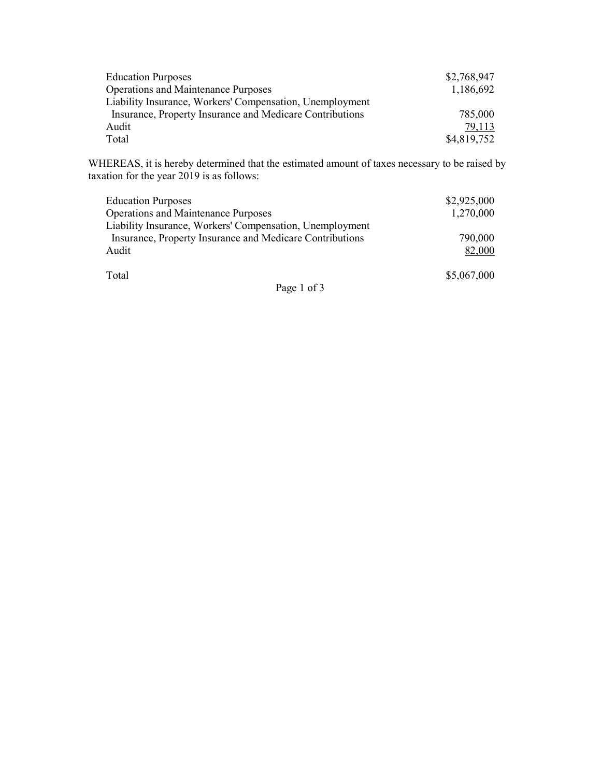| <b>Education Purposes</b>                                | \$2,768,947 |
|----------------------------------------------------------|-------------|
| <b>Operations and Maintenance Purposes</b>               | 1,186,692   |
| Liability Insurance, Workers' Compensation, Unemployment |             |
| Insurance, Property Insurance and Medicare Contributions | 785,000     |
| Audit                                                    | 79,113      |
| Total                                                    | \$4,819,752 |

WHEREAS, it is hereby determined that the estimated amount of taxes necessary to be raised by taxation for the year 2019 is as follows:

| <b>Education Purposes</b>                                | \$2,925,000 |
|----------------------------------------------------------|-------------|
| <b>Operations and Maintenance Purposes</b>               | 1,270,000   |
| Liability Insurance, Workers' Compensation, Unemployment |             |
| Insurance, Property Insurance and Medicare Contributions | 790,000     |
| Audit                                                    | 82,000      |
| Total                                                    | \$5,067,000 |
| $\mathbf{r}$ $\mathbf{r}$                                |             |

Page 1 of 3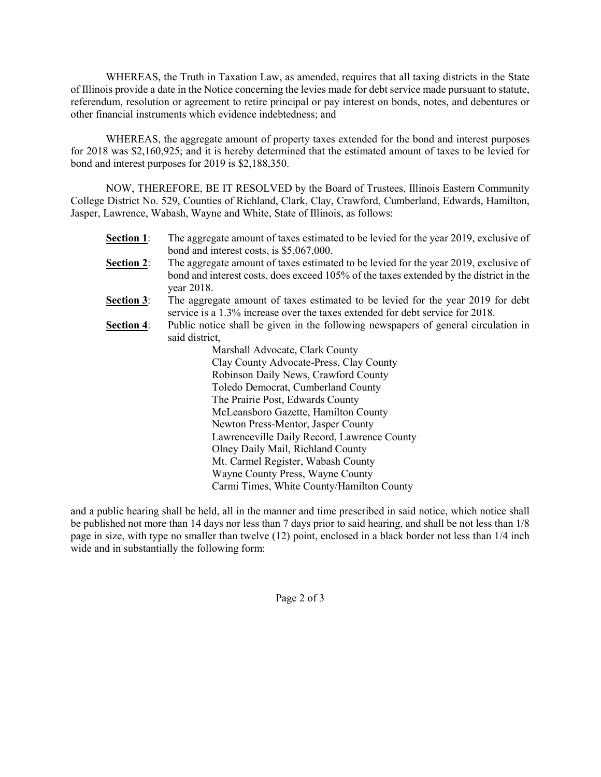WHEREAS, the Truth in Taxation Law, as amended, requires that all taxing districts in the State of Illinois provide a date in the Notice concerning the levies made for debt service made pursuant to statute, referendum, resolution or agreement to retire principal or pay interest on bonds, notes, and debentures or other financial instruments which evidence indebtedness; and

WHEREAS, the aggregate amount of property taxes extended for the bond and interest purposes for 2018 was \$2,160,925; and it is hereby determined that the estimated amount of taxes to be levied for bond and interest purposes for 2019 is \$2,188,350.

NOW, THEREFORE, BE IT RESOLVED by the Board of Trustees, Illinois Eastern Community College District No. 529, Counties of Richland, Clark, Clay, Crawford, Cumberland, Edwards, Hamilton, Jasper, Lawrence, Wabash, Wayne and White, State of Illinois, as follows:

| <b>Section 1:</b> | The aggregate amount of taxes estimated to be levied for the year 2019, exclusive of<br>bond and interest costs, is \$5,067,000.                                                             |
|-------------------|----------------------------------------------------------------------------------------------------------------------------------------------------------------------------------------------|
| <b>Section 2:</b> | The aggregate amount of taxes estimated to be levied for the year 2019, exclusive of<br>bond and interest costs, does exceed 105% of the taxes extended by the district in the<br>year 2018. |
| <b>Section 3:</b> | The aggregate amount of taxes estimated to be levied for the year 2019 for debt<br>service is a 1.3% increase over the taxes extended for debt service for 2018.                             |
| <b>Section 4:</b> | Public notice shall be given in the following newspapers of general circulation in<br>said district,                                                                                         |
|                   |                                                                                                                                                                                              |
|                   | Marshall Advocate, Clark County                                                                                                                                                              |
|                   | Clay County Advocate-Press, Clay County                                                                                                                                                      |
|                   | Robinson Daily News, Crawford County                                                                                                                                                         |
|                   | Toledo Democrat, Cumberland County                                                                                                                                                           |
|                   | The Prairie Post, Edwards County                                                                                                                                                             |
|                   | McLeansboro Gazette, Hamilton County                                                                                                                                                         |
|                   | Newton Press-Mentor, Jasper County                                                                                                                                                           |
|                   | Lawrenceville Daily Record, Lawrence County                                                                                                                                                  |
|                   | Olney Daily Mail, Richland County                                                                                                                                                            |
|                   | Mt. Carmel Register, Wabash County                                                                                                                                                           |
|                   | Wayne County Press, Wayne County                                                                                                                                                             |
|                   | Carmi Times, White County/Hamilton County                                                                                                                                                    |

and a public hearing shall be held, all in the manner and time prescribed in said notice, which notice shall be published not more than 14 days nor less than 7 days prior to said hearing, and shall be not less than 1/8 page in size, with type no smaller than twelve (12) point, enclosed in a black border not less than 1/4 inch wide and in substantially the following form:

Page 2 of 3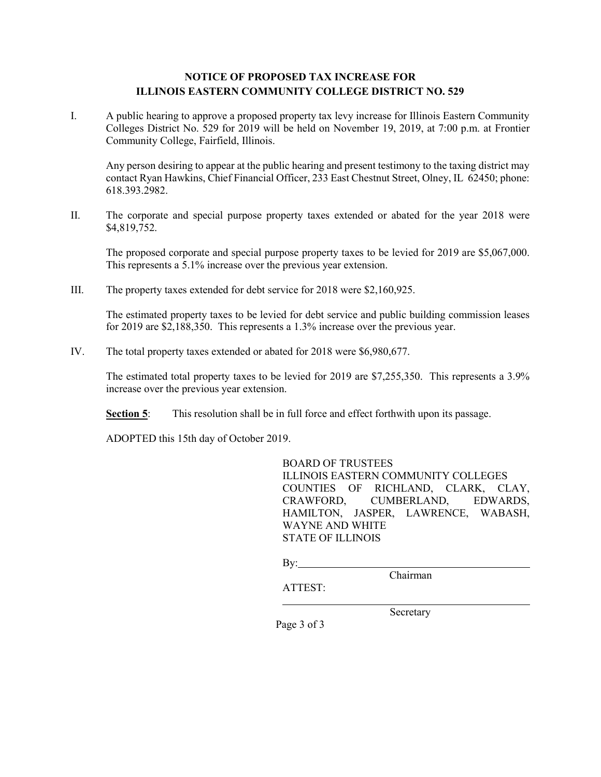## NOTICE OF PROPOSED TAX INCREASE FOR ILLINOIS EASTERN COMMUNITY COLLEGE DISTRICT NO. 529

I. A public hearing to approve a proposed property tax levy increase for Illinois Eastern Community Colleges District No. 529 for 2019 will be held on November 19, 2019, at 7:00 p.m. at Frontier Community College, Fairfield, Illinois.

Any person desiring to appear at the public hearing and present testimony to the taxing district may contact Ryan Hawkins, Chief Financial Officer, 233 East Chestnut Street, Olney, IL 62450; phone: 618.393.2982.

II. The corporate and special purpose property taxes extended or abated for the year 2018 were \$4,819,752.

The proposed corporate and special purpose property taxes to be levied for 2019 are \$5,067,000. This represents a 5.1% increase over the previous year extension.

III. The property taxes extended for debt service for 2018 were \$2,160,925.

The estimated property taxes to be levied for debt service and public building commission leases for 2019 are \$2,188,350. This represents a 1.3% increase over the previous year.

IV. The total property taxes extended or abated for 2018 were \$6,980,677.

 The estimated total property taxes to be levied for 2019 are \$7,255,350. This represents a 3.9% increase over the previous year extension.

Section 5: This resolution shall be in full force and effect forthwith upon its passage.

ADOPTED this 15th day of October 2019.

BOARD OF TRUSTEES ILLINOIS EASTERN COMMUNITY COLLEGES COUNTIES OF RICHLAND, CLARK, CLAY, CRAWFORD, CUMBERLAND, EDWARDS, HAMILTON, JASPER, LAWRENCE, WABASH, WAYNE AND WHITE STATE OF ILLINOIS

By: Chairman

ATTEST:

Secretary

Page 3 of 3

 $\overline{a}$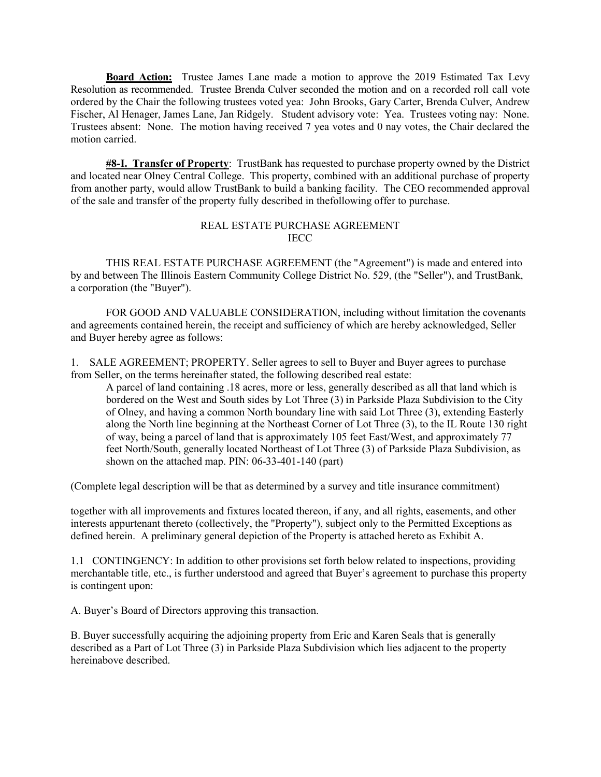Board Action: Trustee James Lane made a motion to approve the 2019 Estimated Tax Levy Resolution as recommended. Trustee Brenda Culver seconded the motion and on a recorded roll call vote ordered by the Chair the following trustees voted yea: John Brooks, Gary Carter, Brenda Culver, Andrew Fischer, Al Henager, James Lane, Jan Ridgely. Student advisory vote: Yea. Trustees voting nay: None. Trustees absent: None. The motion having received 7 yea votes and 0 nay votes, the Chair declared the motion carried.

#8-I. Transfer of Property: TrustBank has requested to purchase property owned by the District and located near Olney Central College. This property, combined with an additional purchase of property from another party, would allow TrustBank to build a banking facility. The CEO recommended approval of the sale and transfer of the property fully described in thefollowing offer to purchase.

### REAL ESTATE PURCHASE AGREEMENT IECC

 THIS REAL ESTATE PURCHASE AGREEMENT (the "Agreement") is made and entered into by and between The Illinois Eastern Community College District No. 529, (the "Seller"), and TrustBank, a corporation (the "Buyer").

 FOR GOOD AND VALUABLE CONSIDERATION, including without limitation the covenants and agreements contained herein, the receipt and sufficiency of which are hereby acknowledged, Seller and Buyer hereby agree as follows:

1. SALE AGREEMENT; PROPERTY. Seller agrees to sell to Buyer and Buyer agrees to purchase from Seller, on the terms hereinafter stated, the following described real estate:

A parcel of land containing .18 acres, more or less, generally described as all that land which is bordered on the West and South sides by Lot Three (3) in Parkside Plaza Subdivision to the City of Olney, and having a common North boundary line with said Lot Three (3), extending Easterly along the North line beginning at the Northeast Corner of Lot Three (3), to the IL Route 130 right of way, being a parcel of land that is approximately 105 feet East/West, and approximately 77 feet North/South, generally located Northeast of Lot Three (3) of Parkside Plaza Subdivision, as shown on the attached map. PIN: 06-33-401-140 (part)

(Complete legal description will be that as determined by a survey and title insurance commitment)

together with all improvements and fixtures located thereon, if any, and all rights, easements, and other interests appurtenant thereto (collectively, the "Property"), subject only to the Permitted Exceptions as defined herein. A preliminary general depiction of the Property is attached hereto as Exhibit A.

1.1 CONTINGENCY: In addition to other provisions set forth below related to inspections, providing merchantable title, etc., is further understood and agreed that Buyer's agreement to purchase this property is contingent upon:

A. Buyer's Board of Directors approving this transaction.

B. Buyer successfully acquiring the adjoining property from Eric and Karen Seals that is generally described as a Part of Lot Three (3) in Parkside Plaza Subdivision which lies adjacent to the property hereinabove described.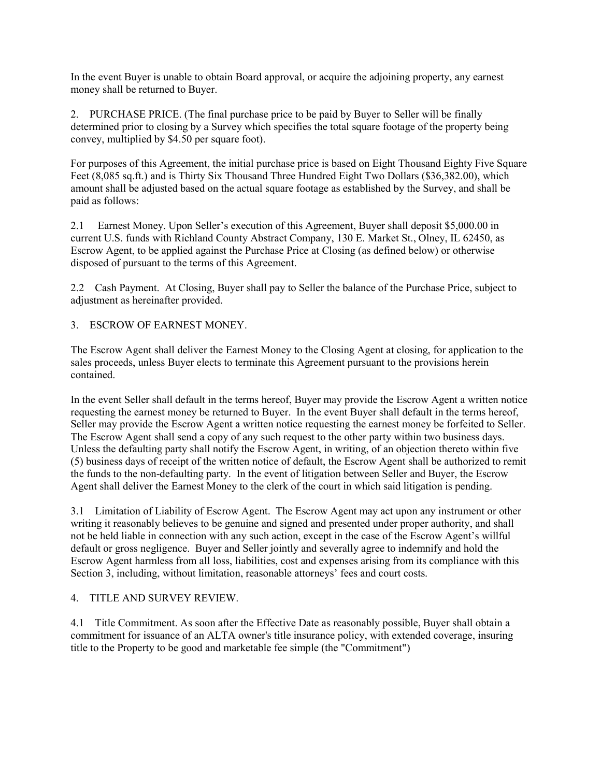In the event Buyer is unable to obtain Board approval, or acquire the adjoining property, any earnest money shall be returned to Buyer.

2. PURCHASE PRICE. (The final purchase price to be paid by Buyer to Seller will be finally determined prior to closing by a Survey which specifies the total square footage of the property being convey, multiplied by \$4.50 per square foot).

For purposes of this Agreement, the initial purchase price is based on Eight Thousand Eighty Five Square Feet (8,085 sq.ft.) and is Thirty Six Thousand Three Hundred Eight Two Dollars (\$36,382.00), which amount shall be adjusted based on the actual square footage as established by the Survey, and shall be paid as follows:

2.1 Earnest Money. Upon Seller's execution of this Agreement, Buyer shall deposit \$5,000.00 in current U.S. funds with Richland County Abstract Company, 130 E. Market St., Olney, IL 62450, as Escrow Agent, to be applied against the Purchase Price at Closing (as defined below) or otherwise disposed of pursuant to the terms of this Agreement.

2.2 Cash Payment. At Closing, Buyer shall pay to Seller the balance of the Purchase Price, subject to adjustment as hereinafter provided.

3. ESCROW OF EARNEST MONEY.

The Escrow Agent shall deliver the Earnest Money to the Closing Agent at closing, for application to the sales proceeds, unless Buyer elects to terminate this Agreement pursuant to the provisions herein contained.

In the event Seller shall default in the terms hereof, Buyer may provide the Escrow Agent a written notice requesting the earnest money be returned to Buyer. In the event Buyer shall default in the terms hereof, Seller may provide the Escrow Agent a written notice requesting the earnest money be forfeited to Seller. The Escrow Agent shall send a copy of any such request to the other party within two business days. Unless the defaulting party shall notify the Escrow Agent, in writing, of an objection thereto within five (5) business days of receipt of the written notice of default, the Escrow Agent shall be authorized to remit the funds to the non-defaulting party. In the event of litigation between Seller and Buyer, the Escrow Agent shall deliver the Earnest Money to the clerk of the court in which said litigation is pending.

3.1 Limitation of Liability of Escrow Agent. The Escrow Agent may act upon any instrument or other writing it reasonably believes to be genuine and signed and presented under proper authority, and shall not be held liable in connection with any such action, except in the case of the Escrow Agent's willful default or gross negligence. Buyer and Seller jointly and severally agree to indemnify and hold the Escrow Agent harmless from all loss, liabilities, cost and expenses arising from its compliance with this Section 3, including, without limitation, reasonable attorneys' fees and court costs.

# 4. TITLE AND SURVEY REVIEW.

4.1 Title Commitment. As soon after the Effective Date as reasonably possible, Buyer shall obtain a commitment for issuance of an ALTA owner's title insurance policy, with extended coverage, insuring title to the Property to be good and marketable fee simple (the "Commitment")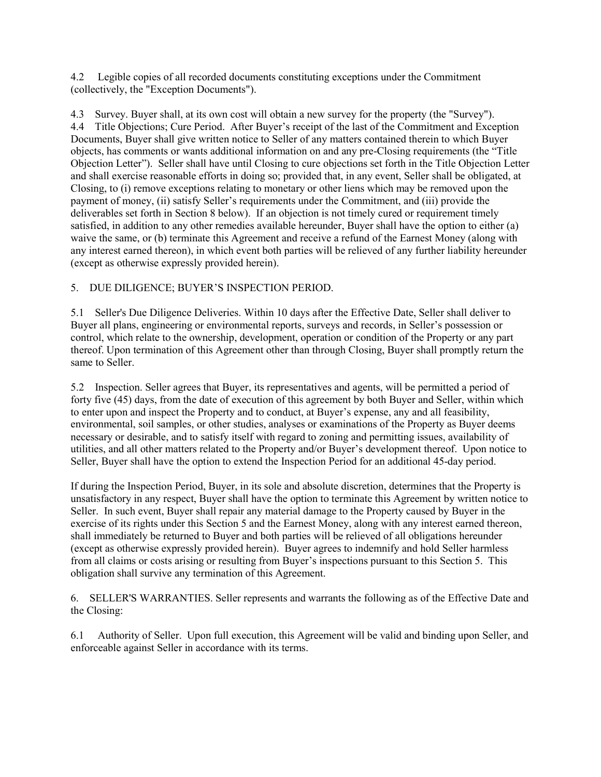4.2 Legible copies of all recorded documents constituting exceptions under the Commitment (collectively, the "Exception Documents").

4.3 Survey. Buyer shall, at its own cost will obtain a new survey for the property (the "Survey"). 4.4 Title Objections; Cure Period. After Buyer's receipt of the last of the Commitment and Exception Documents, Buyer shall give written notice to Seller of any matters contained therein to which Buyer objects, has comments or wants additional information on and any pre-Closing requirements (the "Title Objection Letter"). Seller shall have until Closing to cure objections set forth in the Title Objection Letter and shall exercise reasonable efforts in doing so; provided that, in any event, Seller shall be obligated, at Closing, to (i) remove exceptions relating to monetary or other liens which may be removed upon the payment of money, (ii) satisfy Seller's requirements under the Commitment, and (iii) provide the deliverables set forth in Section 8 below). If an objection is not timely cured or requirement timely satisfied, in addition to any other remedies available hereunder, Buyer shall have the option to either (a) waive the same, or (b) terminate this Agreement and receive a refund of the Earnest Money (along with any interest earned thereon), in which event both parties will be relieved of any further liability hereunder (except as otherwise expressly provided herein).

# 5. DUE DILIGENCE; BUYER'S INSPECTION PERIOD.

5.1 Seller's Due Diligence Deliveries. Within 10 days after the Effective Date, Seller shall deliver to Buyer all plans, engineering or environmental reports, surveys and records, in Seller's possession or control, which relate to the ownership, development, operation or condition of the Property or any part thereof. Upon termination of this Agreement other than through Closing, Buyer shall promptly return the same to Seller.

5.2 Inspection. Seller agrees that Buyer, its representatives and agents, will be permitted a period of forty five (45) days, from the date of execution of this agreement by both Buyer and Seller, within which to enter upon and inspect the Property and to conduct, at Buyer's expense, any and all feasibility, environmental, soil samples, or other studies, analyses or examinations of the Property as Buyer deems necessary or desirable, and to satisfy itself with regard to zoning and permitting issues, availability of utilities, and all other matters related to the Property and/or Buyer's development thereof. Upon notice to Seller, Buyer shall have the option to extend the Inspection Period for an additional 45-day period.

If during the Inspection Period, Buyer, in its sole and absolute discretion, determines that the Property is unsatisfactory in any respect, Buyer shall have the option to terminate this Agreement by written notice to Seller. In such event, Buyer shall repair any material damage to the Property caused by Buyer in the exercise of its rights under this Section 5 and the Earnest Money, along with any interest earned thereon, shall immediately be returned to Buyer and both parties will be relieved of all obligations hereunder (except as otherwise expressly provided herein). Buyer agrees to indemnify and hold Seller harmless from all claims or costs arising or resulting from Buyer's inspections pursuant to this Section 5. This obligation shall survive any termination of this Agreement.

6. SELLER'S WARRANTIES. Seller represents and warrants the following as of the Effective Date and the Closing:

6.1 Authority of Seller. Upon full execution, this Agreement will be valid and binding upon Seller, and enforceable against Seller in accordance with its terms.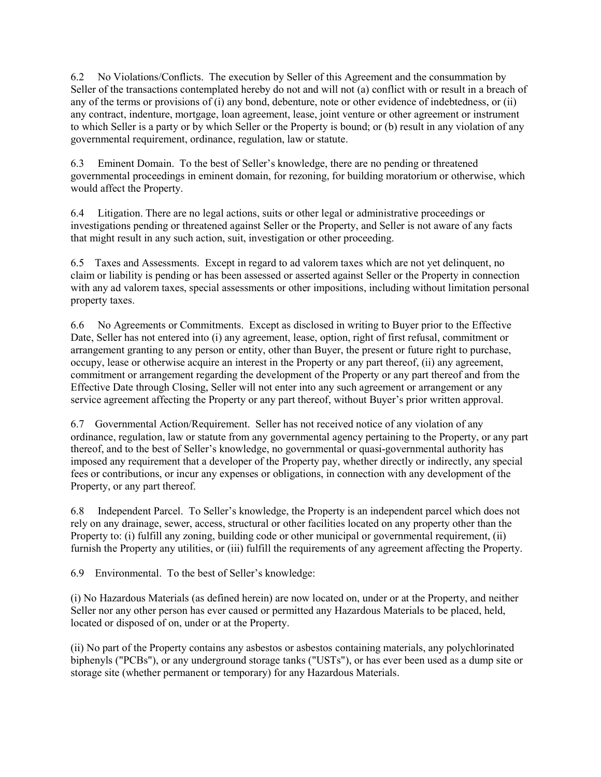6.2 No Violations/Conflicts. The execution by Seller of this Agreement and the consummation by Seller of the transactions contemplated hereby do not and will not (a) conflict with or result in a breach of any of the terms or provisions of (i) any bond, debenture, note or other evidence of indebtedness, or (ii) any contract, indenture, mortgage, loan agreement, lease, joint venture or other agreement or instrument to which Seller is a party or by which Seller or the Property is bound; or (b) result in any violation of any governmental requirement, ordinance, regulation, law or statute.

6.3 Eminent Domain. To the best of Seller's knowledge, there are no pending or threatened governmental proceedings in eminent domain, for rezoning, for building moratorium or otherwise, which would affect the Property.

6.4 Litigation. There are no legal actions, suits or other legal or administrative proceedings or investigations pending or threatened against Seller or the Property, and Seller is not aware of any facts that might result in any such action, suit, investigation or other proceeding.

6.5 Taxes and Assessments. Except in regard to ad valorem taxes which are not yet delinquent, no claim or liability is pending or has been assessed or asserted against Seller or the Property in connection with any ad valorem taxes, special assessments or other impositions, including without limitation personal property taxes.

6.6 No Agreements or Commitments. Except as disclosed in writing to Buyer prior to the Effective Date, Seller has not entered into (i) any agreement, lease, option, right of first refusal, commitment or arrangement granting to any person or entity, other than Buyer, the present or future right to purchase, occupy, lease or otherwise acquire an interest in the Property or any part thereof, (ii) any agreement, commitment or arrangement regarding the development of the Property or any part thereof and from the Effective Date through Closing, Seller will not enter into any such agreement or arrangement or any service agreement affecting the Property or any part thereof, without Buyer's prior written approval.

6.7 Governmental Action/Requirement. Seller has not received notice of any violation of any ordinance, regulation, law or statute from any governmental agency pertaining to the Property, or any part thereof, and to the best of Seller's knowledge, no governmental or quasi-governmental authority has imposed any requirement that a developer of the Property pay, whether directly or indirectly, any special fees or contributions, or incur any expenses or obligations, in connection with any development of the Property, or any part thereof.

6.8 Independent Parcel. To Seller's knowledge, the Property is an independent parcel which does not rely on any drainage, sewer, access, structural or other facilities located on any property other than the Property to: (i) fulfill any zoning, building code or other municipal or governmental requirement, (ii) furnish the Property any utilities, or (iii) fulfill the requirements of any agreement affecting the Property.

6.9 Environmental. To the best of Seller's knowledge:

(i) No Hazardous Materials (as defined herein) are now located on, under or at the Property, and neither Seller nor any other person has ever caused or permitted any Hazardous Materials to be placed, held, located or disposed of on, under or at the Property.

(ii) No part of the Property contains any asbestos or asbestos containing materials, any polychlorinated biphenyls ("PCBs"), or any underground storage tanks ("USTs"), or has ever been used as a dump site or storage site (whether permanent or temporary) for any Hazardous Materials.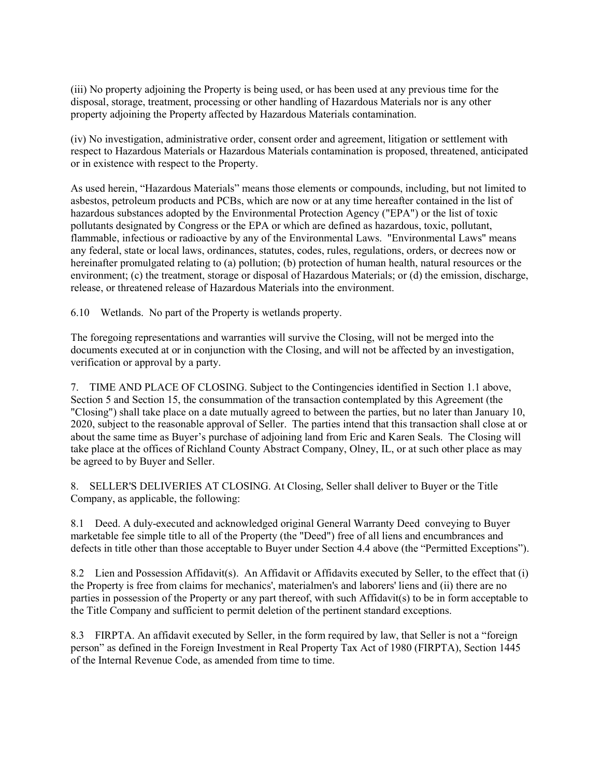(iii) No property adjoining the Property is being used, or has been used at any previous time for the disposal, storage, treatment, processing or other handling of Hazardous Materials nor is any other property adjoining the Property affected by Hazardous Materials contamination.

(iv) No investigation, administrative order, consent order and agreement, litigation or settlement with respect to Hazardous Materials or Hazardous Materials contamination is proposed, threatened, anticipated or in existence with respect to the Property.

As used herein, "Hazardous Materials" means those elements or compounds, including, but not limited to asbestos, petroleum products and PCBs, which are now or at any time hereafter contained in the list of hazardous substances adopted by the Environmental Protection Agency ("EPA") or the list of toxic pollutants designated by Congress or the EPA or which are defined as hazardous, toxic, pollutant, flammable, infectious or radioactive by any of the Environmental Laws. "Environmental Laws" means any federal, state or local laws, ordinances, statutes, codes, rules, regulations, orders, or decrees now or hereinafter promulgated relating to (a) pollution; (b) protection of human health, natural resources or the environment; (c) the treatment, storage or disposal of Hazardous Materials; or (d) the emission, discharge, release, or threatened release of Hazardous Materials into the environment.

6.10 Wetlands. No part of the Property is wetlands property.

The foregoing representations and warranties will survive the Closing, will not be merged into the documents executed at or in conjunction with the Closing, and will not be affected by an investigation, verification or approval by a party.

7. TIME AND PLACE OF CLOSING. Subject to the Contingencies identified in Section 1.1 above, Section 5 and Section 15, the consummation of the transaction contemplated by this Agreement (the "Closing") shall take place on a date mutually agreed to between the parties, but no later than January 10, 2020, subject to the reasonable approval of Seller. The parties intend that this transaction shall close at or about the same time as Buyer's purchase of adjoining land from Eric and Karen Seals. The Closing will take place at the offices of Richland County Abstract Company, Olney, IL, or at such other place as may be agreed to by Buyer and Seller.

8. SELLER'S DELIVERIES AT CLOSING. At Closing, Seller shall deliver to Buyer or the Title Company, as applicable, the following:

8.1 Deed. A duly-executed and acknowledged original General Warranty Deed conveying to Buyer marketable fee simple title to all of the Property (the "Deed") free of all liens and encumbrances and defects in title other than those acceptable to Buyer under Section 4.4 above (the "Permitted Exceptions").

8.2 Lien and Possession Affidavit(s). An Affidavit or Affidavits executed by Seller, to the effect that (i) the Property is free from claims for mechanics', materialmen's and laborers' liens and (ii) there are no parties in possession of the Property or any part thereof, with such Affidavit(s) to be in form acceptable to the Title Company and sufficient to permit deletion of the pertinent standard exceptions.

8.3 FIRPTA. An affidavit executed by Seller, in the form required by law, that Seller is not a "foreign person" as defined in the Foreign Investment in Real Property Tax Act of 1980 (FIRPTA), Section 1445 of the Internal Revenue Code, as amended from time to time.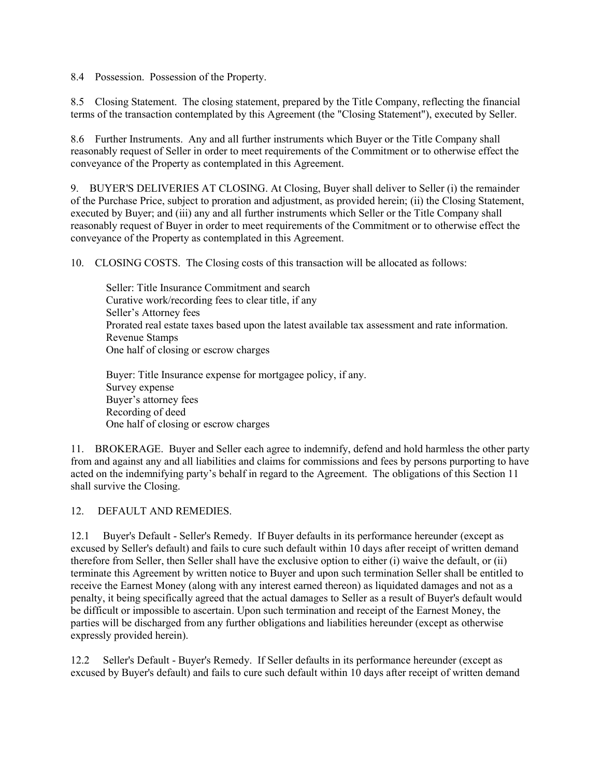8.4 Possession. Possession of the Property.

8.5 Closing Statement. The closing statement, prepared by the Title Company, reflecting the financial terms of the transaction contemplated by this Agreement (the "Closing Statement"), executed by Seller.

8.6 Further Instruments. Any and all further instruments which Buyer or the Title Company shall reasonably request of Seller in order to meet requirements of the Commitment or to otherwise effect the conveyance of the Property as contemplated in this Agreement.

9. BUYER'S DELIVERIES AT CLOSING. At Closing, Buyer shall deliver to Seller (i) the remainder of the Purchase Price, subject to proration and adjustment, as provided herein; (ii) the Closing Statement, executed by Buyer; and (iii) any and all further instruments which Seller or the Title Company shall reasonably request of Buyer in order to meet requirements of the Commitment or to otherwise effect the conveyance of the Property as contemplated in this Agreement.

10. CLOSING COSTS. The Closing costs of this transaction will be allocated as follows:

 Seller: Title Insurance Commitment and search Curative work/recording fees to clear title, if any Seller's Attorney fees Prorated real estate taxes based upon the latest available tax assessment and rate information. Revenue Stamps One half of closing or escrow charges

 Buyer: Title Insurance expense for mortgagee policy, if any. Survey expense Buyer's attorney fees Recording of deed One half of closing or escrow charges

11. BROKERAGE. Buyer and Seller each agree to indemnify, defend and hold harmless the other party from and against any and all liabilities and claims for commissions and fees by persons purporting to have acted on the indemnifying party's behalf in regard to the Agreement. The obligations of this Section 11 shall survive the Closing.

# 12. DEFAULT AND REMEDIES.

12.1 Buyer's Default - Seller's Remedy. If Buyer defaults in its performance hereunder (except as excused by Seller's default) and fails to cure such default within 10 days after receipt of written demand therefore from Seller, then Seller shall have the exclusive option to either (i) waive the default, or (ii) terminate this Agreement by written notice to Buyer and upon such termination Seller shall be entitled to receive the Earnest Money (along with any interest earned thereon) as liquidated damages and not as a penalty, it being specifically agreed that the actual damages to Seller as a result of Buyer's default would be difficult or impossible to ascertain. Upon such termination and receipt of the Earnest Money, the parties will be discharged from any further obligations and liabilities hereunder (except as otherwise expressly provided herein).

12.2 Seller's Default - Buyer's Remedy. If Seller defaults in its performance hereunder (except as excused by Buyer's default) and fails to cure such default within 10 days after receipt of written demand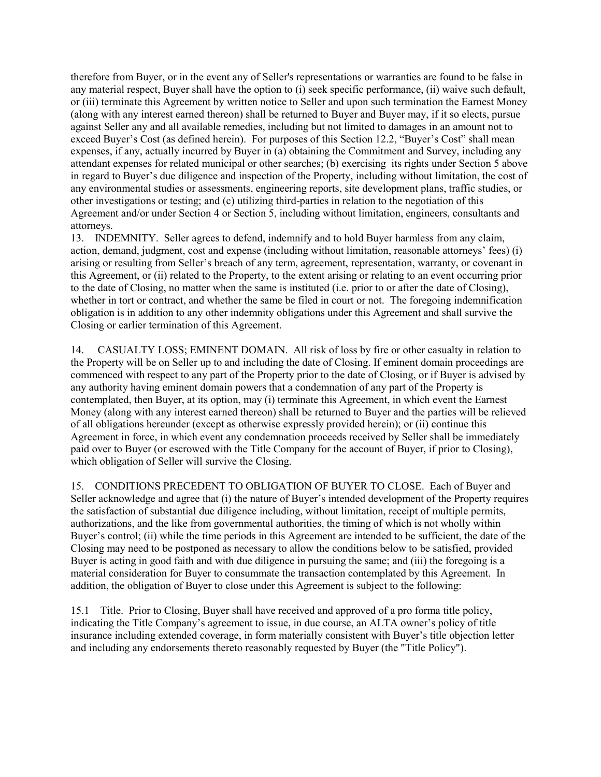therefore from Buyer, or in the event any of Seller's representations or warranties are found to be false in any material respect, Buyer shall have the option to (i) seek specific performance, (ii) waive such default, or (iii) terminate this Agreement by written notice to Seller and upon such termination the Earnest Money (along with any interest earned thereon) shall be returned to Buyer and Buyer may, if it so elects, pursue against Seller any and all available remedies, including but not limited to damages in an amount not to exceed Buyer's Cost (as defined herein). For purposes of this Section 12.2, "Buyer's Cost" shall mean expenses, if any, actually incurred by Buyer in (a) obtaining the Commitment and Survey, including any attendant expenses for related municipal or other searches; (b) exercising its rights under Section 5 above in regard to Buyer's due diligence and inspection of the Property, including without limitation, the cost of any environmental studies or assessments, engineering reports, site development plans, traffic studies, or other investigations or testing; and (c) utilizing third-parties in relation to the negotiation of this Agreement and/or under Section 4 or Section 5, including without limitation, engineers, consultants and attorneys.

13. INDEMNITY. Seller agrees to defend, indemnify and to hold Buyer harmless from any claim, action, demand, judgment, cost and expense (including without limitation, reasonable attorneys' fees) (i) arising or resulting from Seller's breach of any term, agreement, representation, warranty, or covenant in this Agreement, or (ii) related to the Property, to the extent arising or relating to an event occurring prior to the date of Closing, no matter when the same is instituted (i.e. prior to or after the date of Closing), whether in tort or contract, and whether the same be filed in court or not. The foregoing indemnification obligation is in addition to any other indemnity obligations under this Agreement and shall survive the Closing or earlier termination of this Agreement.

14. CASUALTY LOSS; EMINENT DOMAIN. All risk of loss by fire or other casualty in relation to the Property will be on Seller up to and including the date of Closing. If eminent domain proceedings are commenced with respect to any part of the Property prior to the date of Closing, or if Buyer is advised by any authority having eminent domain powers that a condemnation of any part of the Property is contemplated, then Buyer, at its option, may (i) terminate this Agreement, in which event the Earnest Money (along with any interest earned thereon) shall be returned to Buyer and the parties will be relieved of all obligations hereunder (except as otherwise expressly provided herein); or (ii) continue this Agreement in force, in which event any condemnation proceeds received by Seller shall be immediately paid over to Buyer (or escrowed with the Title Company for the account of Buyer, if prior to Closing), which obligation of Seller will survive the Closing.

15. CONDITIONS PRECEDENT TO OBLIGATION OF BUYER TO CLOSE. Each of Buyer and Seller acknowledge and agree that (i) the nature of Buyer's intended development of the Property requires the satisfaction of substantial due diligence including, without limitation, receipt of multiple permits, authorizations, and the like from governmental authorities, the timing of which is not wholly within Buyer's control; (ii) while the time periods in this Agreement are intended to be sufficient, the date of the Closing may need to be postponed as necessary to allow the conditions below to be satisfied, provided Buyer is acting in good faith and with due diligence in pursuing the same; and (iii) the foregoing is a material consideration for Buyer to consummate the transaction contemplated by this Agreement. In addition, the obligation of Buyer to close under this Agreement is subject to the following:

15.1 Title. Prior to Closing, Buyer shall have received and approved of a pro forma title policy, indicating the Title Company's agreement to issue, in due course, an ALTA owner's policy of title insurance including extended coverage, in form materially consistent with Buyer's title objection letter and including any endorsements thereto reasonably requested by Buyer (the "Title Policy").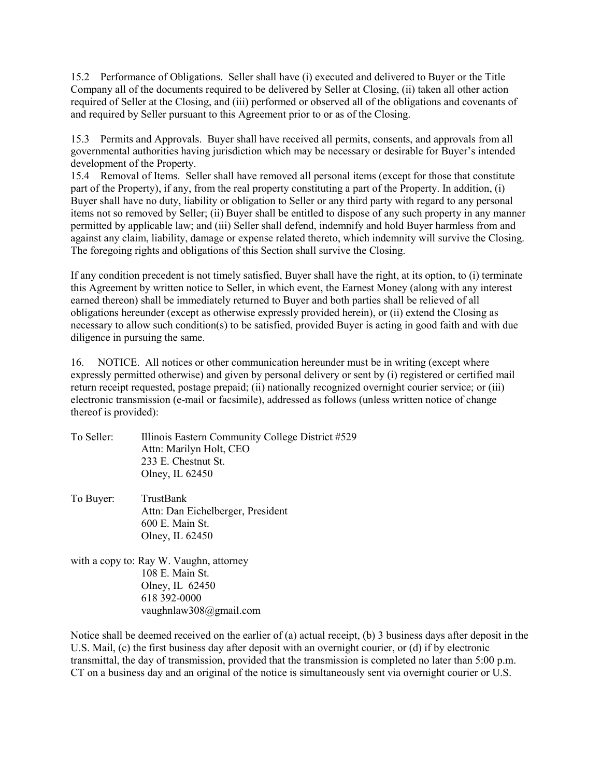15.2 Performance of Obligations. Seller shall have (i) executed and delivered to Buyer or the Title Company all of the documents required to be delivered by Seller at Closing, (ii) taken all other action required of Seller at the Closing, and (iii) performed or observed all of the obligations and covenants of and required by Seller pursuant to this Agreement prior to or as of the Closing.

15.3 Permits and Approvals. Buyer shall have received all permits, consents, and approvals from all governmental authorities having jurisdiction which may be necessary or desirable for Buyer's intended development of the Property.

15.4 Removal of Items. Seller shall have removed all personal items (except for those that constitute part of the Property), if any, from the real property constituting a part of the Property. In addition, (i) Buyer shall have no duty, liability or obligation to Seller or any third party with regard to any personal items not so removed by Seller; (ii) Buyer shall be entitled to dispose of any such property in any manner permitted by applicable law; and (iii) Seller shall defend, indemnify and hold Buyer harmless from and against any claim, liability, damage or expense related thereto, which indemnity will survive the Closing. The foregoing rights and obligations of this Section shall survive the Closing.

If any condition precedent is not timely satisfied, Buyer shall have the right, at its option, to (i) terminate this Agreement by written notice to Seller, in which event, the Earnest Money (along with any interest earned thereon) shall be immediately returned to Buyer and both parties shall be relieved of all obligations hereunder (except as otherwise expressly provided herein), or (ii) extend the Closing as necessary to allow such condition(s) to be satisfied, provided Buyer is acting in good faith and with due diligence in pursuing the same.

16. NOTICE. All notices or other communication hereunder must be in writing (except where expressly permitted otherwise) and given by personal delivery or sent by (i) registered or certified mail return receipt requested, postage prepaid; (ii) nationally recognized overnight courier service; or (iii) electronic transmission (e-mail or facsimile), addressed as follows (unless written notice of change thereof is provided):

- To Seller: Illinois Eastern Community College District #529 Attn: Marilyn Holt, CEO 233 E. Chestnut St. Olney, IL 62450
- To Buyer: TrustBank Attn: Dan Eichelberger, President 600 E. Main St. Olney, IL 62450
- with a copy to: Ray W. Vaughn, attorney 108 E. Main St. Olney, IL 62450 618 392-0000 vaughnlaw308@gmail.com

Notice shall be deemed received on the earlier of (a) actual receipt, (b) 3 business days after deposit in the U.S. Mail, (c) the first business day after deposit with an overnight courier, or (d) if by electronic transmittal, the day of transmission, provided that the transmission is completed no later than 5:00 p.m. CT on a business day and an original of the notice is simultaneously sent via overnight courier or U.S.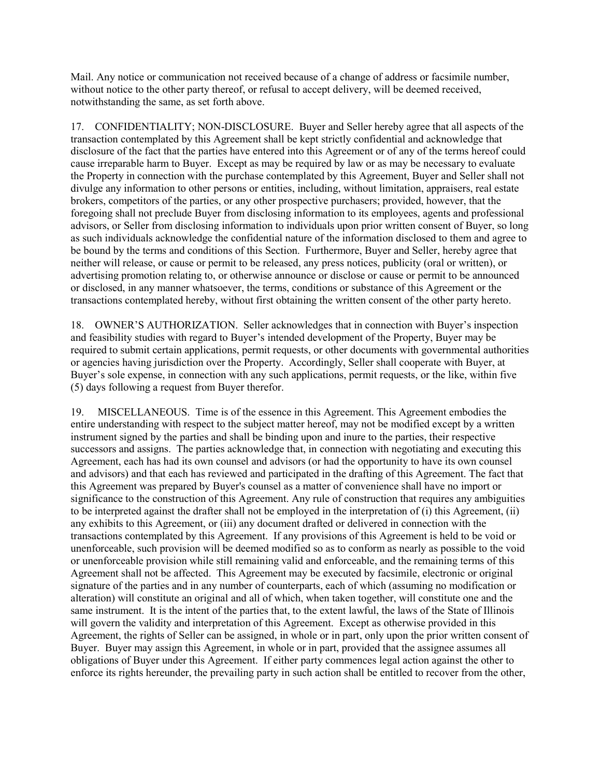Mail. Any notice or communication not received because of a change of address or facsimile number, without notice to the other party thereof, or refusal to accept delivery, will be deemed received, notwithstanding the same, as set forth above.

17. CONFIDENTIALITY; NON-DISCLOSURE. Buyer and Seller hereby agree that all aspects of the transaction contemplated by this Agreement shall be kept strictly confidential and acknowledge that disclosure of the fact that the parties have entered into this Agreement or of any of the terms hereof could cause irreparable harm to Buyer. Except as may be required by law or as may be necessary to evaluate the Property in connection with the purchase contemplated by this Agreement, Buyer and Seller shall not divulge any information to other persons or entities, including, without limitation, appraisers, real estate brokers, competitors of the parties, or any other prospective purchasers; provided, however, that the foregoing shall not preclude Buyer from disclosing information to its employees, agents and professional advisors, or Seller from disclosing information to individuals upon prior written consent of Buyer, so long as such individuals acknowledge the confidential nature of the information disclosed to them and agree to be bound by the terms and conditions of this Section. Furthermore, Buyer and Seller, hereby agree that neither will release, or cause or permit to be released, any press notices, publicity (oral or written), or advertising promotion relating to, or otherwise announce or disclose or cause or permit to be announced or disclosed, in any manner whatsoever, the terms, conditions or substance of this Agreement or the transactions contemplated hereby, without first obtaining the written consent of the other party hereto.

18. OWNER'S AUTHORIZATION. Seller acknowledges that in connection with Buyer's inspection and feasibility studies with regard to Buyer's intended development of the Property, Buyer may be required to submit certain applications, permit requests, or other documents with governmental authorities or agencies having jurisdiction over the Property. Accordingly, Seller shall cooperate with Buyer, at Buyer's sole expense, in connection with any such applications, permit requests, or the like, within five (5) days following a request from Buyer therefor.

19. MISCELLANEOUS. Time is of the essence in this Agreement. This Agreement embodies the entire understanding with respect to the subject matter hereof, may not be modified except by a written instrument signed by the parties and shall be binding upon and inure to the parties, their respective successors and assigns. The parties acknowledge that, in connection with negotiating and executing this Agreement, each has had its own counsel and advisors (or had the opportunity to have its own counsel and advisors) and that each has reviewed and participated in the drafting of this Agreement. The fact that this Agreement was prepared by Buyer's counsel as a matter of convenience shall have no import or significance to the construction of this Agreement. Any rule of construction that requires any ambiguities to be interpreted against the drafter shall not be employed in the interpretation of (i) this Agreement, (ii) any exhibits to this Agreement, or (iii) any document drafted or delivered in connection with the transactions contemplated by this Agreement. If any provisions of this Agreement is held to be void or unenforceable, such provision will be deemed modified so as to conform as nearly as possible to the void or unenforceable provision while still remaining valid and enforceable, and the remaining terms of this Agreement shall not be affected. This Agreement may be executed by facsimile, electronic or original signature of the parties and in any number of counterparts, each of which (assuming no modification or alteration) will constitute an original and all of which, when taken together, will constitute one and the same instrument. It is the intent of the parties that, to the extent lawful, the laws of the State of Illinois will govern the validity and interpretation of this Agreement. Except as otherwise provided in this Agreement, the rights of Seller can be assigned, in whole or in part, only upon the prior written consent of Buyer. Buyer may assign this Agreement, in whole or in part, provided that the assignee assumes all obligations of Buyer under this Agreement. If either party commences legal action against the other to enforce its rights hereunder, the prevailing party in such action shall be entitled to recover from the other,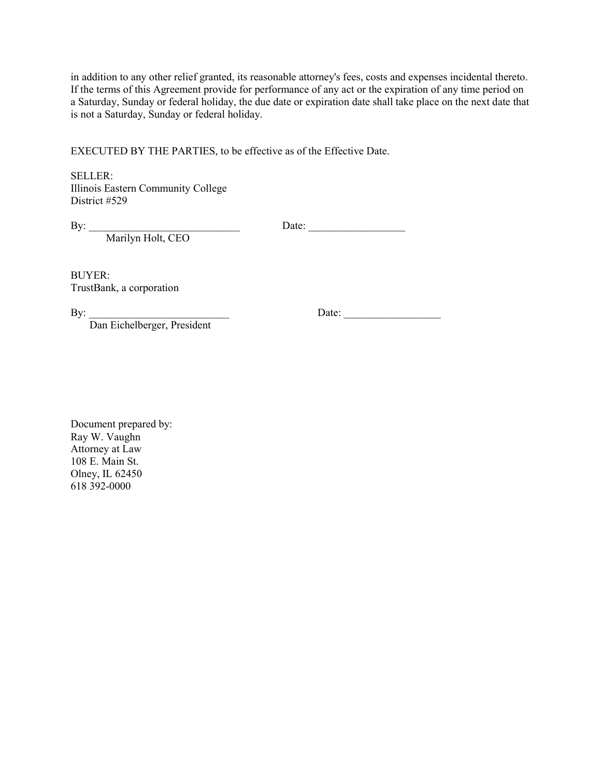in addition to any other relief granted, its reasonable attorney's fees, costs and expenses incidental thereto. If the terms of this Agreement provide for performance of any act or the expiration of any time period on a Saturday, Sunday or federal holiday, the due date or expiration date shall take place on the next date that is not a Saturday, Sunday or federal holiday.

EXECUTED BY THE PARTIES, to be effective as of the Effective Date.

SELLER: Illinois Eastern Community College District #529

By: \_\_\_\_\_\_\_\_\_\_\_\_\_\_\_\_\_\_\_\_\_\_\_\_\_\_\_\_ Date: \_\_\_\_\_\_\_\_\_\_\_\_\_\_\_\_\_\_

Marilyn Holt, CEO

BUYER: TrustBank, a corporation

Dan Eichelberger, President

By: \_\_\_\_\_\_\_\_\_\_\_\_\_\_\_\_\_\_\_\_\_\_\_\_\_\_ Date: \_\_\_\_\_\_\_\_\_\_\_\_\_\_\_\_\_\_

Document prepared by: Ray W. Vaughn Attorney at Law 108 E. Main St. Olney, IL 62450 618 392-0000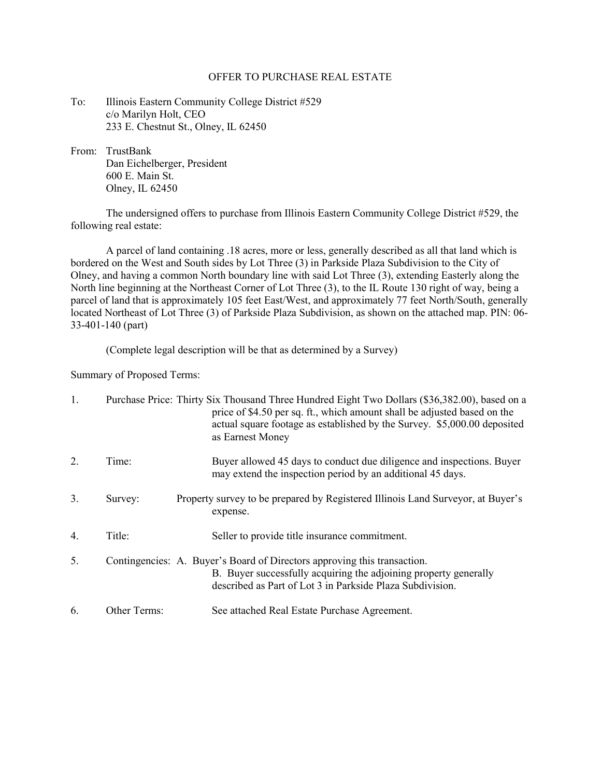#### OFFER TO PURCHASE REAL ESTATE

- To: Illinois Eastern Community College District #529 c/o Marilyn Holt, CEO 233 E. Chestnut St., Olney, IL 62450
- From: TrustBank Dan Eichelberger, President 600 E. Main St. Olney, IL 62450

 The undersigned offers to purchase from Illinois Eastern Community College District #529, the following real estate:

 A parcel of land containing .18 acres, more or less, generally described as all that land which is bordered on the West and South sides by Lot Three (3) in Parkside Plaza Subdivision to the City of Olney, and having a common North boundary line with said Lot Three (3), extending Easterly along the North line beginning at the Northeast Corner of Lot Three (3), to the IL Route 130 right of way, being a parcel of land that is approximately 105 feet East/West, and approximately 77 feet North/South, generally located Northeast of Lot Three (3) of Parkside Plaza Subdivision, as shown on the attached map. PIN: 06- 33-401-140 (part)

(Complete legal description will be that as determined by a Survey)

Summary of Proposed Terms:

| 1. |              | Purchase Price: Thirty Six Thousand Three Hundred Eight Two Dollars (\$36,382.00), based on a<br>price of \$4.50 per sq. ft., which amount shall be adjusted based on the<br>actual square footage as established by the Survey. \$5,000.00 deposited<br>as Earnest Money |
|----|--------------|---------------------------------------------------------------------------------------------------------------------------------------------------------------------------------------------------------------------------------------------------------------------------|
| 2. | Time:        | Buyer allowed 45 days to conduct due diligence and inspections. Buyer<br>may extend the inspection period by an additional 45 days.                                                                                                                                       |
| 3. | Survey:      | Property survey to be prepared by Registered Illinois Land Surveyor, at Buyer's<br>expense.                                                                                                                                                                               |
| 4. | Title:       | Seller to provide title insurance commitment.                                                                                                                                                                                                                             |
| 5. |              | Contingencies: A. Buyer's Board of Directors approving this transaction.<br>B. Buyer successfully acquiring the adjoining property generally<br>described as Part of Lot 3 in Parkside Plaza Subdivision.                                                                 |
| 6. | Other Terms: | See attached Real Estate Purchase Agreement.                                                                                                                                                                                                                              |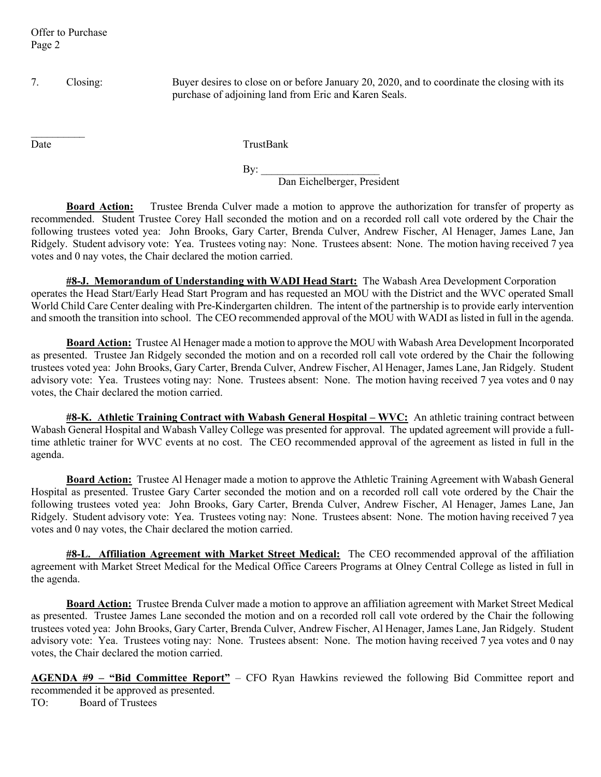7. Closing: Buyer desires to close on or before January 20, 2020, and to coordinate the closing with its purchase of adjoining land from Eric and Karen Seals.

 $\frac{1}{2}$ 

Date TrustBank

 By: \_\_\_\_\_\_\_\_\_\_\_\_\_\_\_\_\_\_\_\_\_\_ Dan Eichelberger, President

Board Action: Trustee Brenda Culver made a motion to approve the authorization for transfer of property as recommended. Student Trustee Corey Hall seconded the motion and on a recorded roll call vote ordered by the Chair the following trustees voted yea: John Brooks, Gary Carter, Brenda Culver, Andrew Fischer, Al Henager, James Lane, Jan Ridgely. Student advisory vote: Yea. Trustees voting nay: None. Trustees absent: None. The motion having received 7 yea votes and 0 nay votes, the Chair declared the motion carried.

#8-J. Memorandum of Understanding with WADI Head Start: The Wabash Area Development Corporation operates the Head Start/Early Head Start Program and has requested an MOU with the District and the WVC operated Small World Child Care Center dealing with Pre-Kindergarten children. The intent of the partnership is to provide early intervention and smooth the transition into school. The CEO recommended approval of the MOU with WADI as listed in full in the agenda.

**Board Action:** Trustee Al Henager made a motion to approve the MOU with Wabash Area Development Incorporated as presented. Trustee Jan Ridgely seconded the motion and on a recorded roll call vote ordered by the Chair the following trustees voted yea: John Brooks, Gary Carter, Brenda Culver, Andrew Fischer, Al Henager, James Lane, Jan Ridgely. Student advisory vote: Yea. Trustees voting nay: None. Trustees absent: None. The motion having received 7 yea votes and 0 nay votes, the Chair declared the motion carried.

#8-K. Athletic Training Contract with Wabash General Hospital – WVC: An athletic training contract between Wabash General Hospital and Wabash Valley College was presented for approval. The updated agreement will provide a fulltime athletic trainer for WVC events at no cost. The CEO recommended approval of the agreement as listed in full in the agenda.

Board Action: Trustee Al Henager made a motion to approve the Athletic Training Agreement with Wabash General Hospital as presented. Trustee Gary Carter seconded the motion and on a recorded roll call vote ordered by the Chair the following trustees voted yea: John Brooks, Gary Carter, Brenda Culver, Andrew Fischer, Al Henager, James Lane, Jan Ridgely. Student advisory vote: Yea. Trustees voting nay: None. Trustees absent: None. The motion having received 7 yea votes and 0 nay votes, the Chair declared the motion carried.

**#8-L. Affiliation Agreement with Market Street Medical:** The CEO recommended approval of the affiliation agreement with Market Street Medical for the Medical Office Careers Programs at Olney Central College as listed in full in the agenda.

**Board Action:** Trustee Brenda Culver made a motion to approve an affiliation agreement with Market Street Medical as presented. Trustee James Lane seconded the motion and on a recorded roll call vote ordered by the Chair the following trustees voted yea: John Brooks, Gary Carter, Brenda Culver, Andrew Fischer, Al Henager, James Lane, Jan Ridgely. Student advisory vote: Yea. Trustees voting nay: None. Trustees absent: None. The motion having received 7 yea votes and 0 nay votes, the Chair declared the motion carried.

AGENDA #9 - "Bid Committee Report" - CFO Ryan Hawkins reviewed the following Bid Committee report and recommended it be approved as presented. TO: Board of Trustees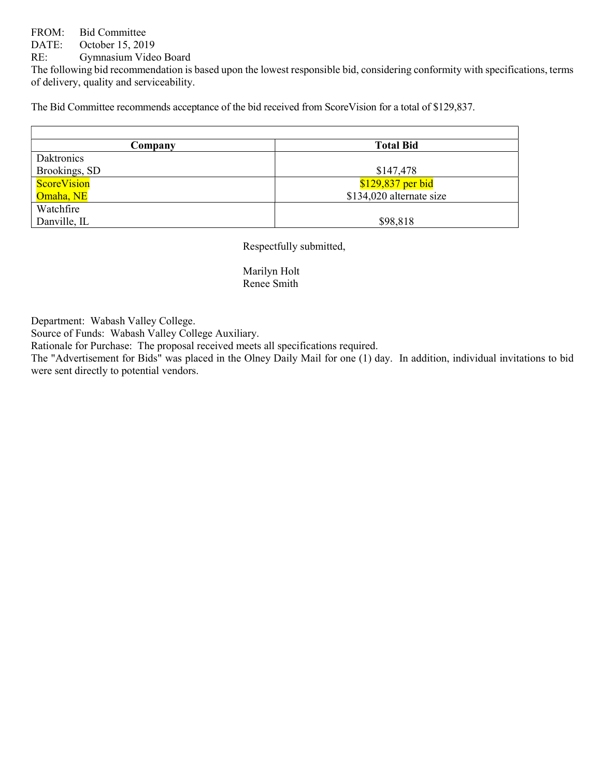# FROM: Bid Committee

DATE: October 15, 2019

RE: Gymnasium Video Board

The following bid recommendation is based upon the lowest responsible bid, considering conformity with specifications, terms of delivery, quality and serviceability.

The Bid Committee recommends acceptance of the bid received from ScoreVision for a total of \$129,837.

| Company            | <b>Total Bid</b>         |
|--------------------|--------------------------|
| Daktronics         |                          |
| Brookings, SD      | \$147,478                |
| <b>ScoreVision</b> | $$129,837$ per bid       |
| Omaha, NE          | \$134,020 alternate size |
| Watchfire          |                          |
| Danville, IL       | \$98,818                 |

Respectfully submitted,

 Marilyn Holt Renee Smith

Department: Wabash Valley College.

Source of Funds: Wabash Valley College Auxiliary.

Rationale for Purchase: The proposal received meets all specifications required.

The "Advertisement for Bids" was placed in the Olney Daily Mail for one (1) day. In addition, individual invitations to bid were sent directly to potential vendors.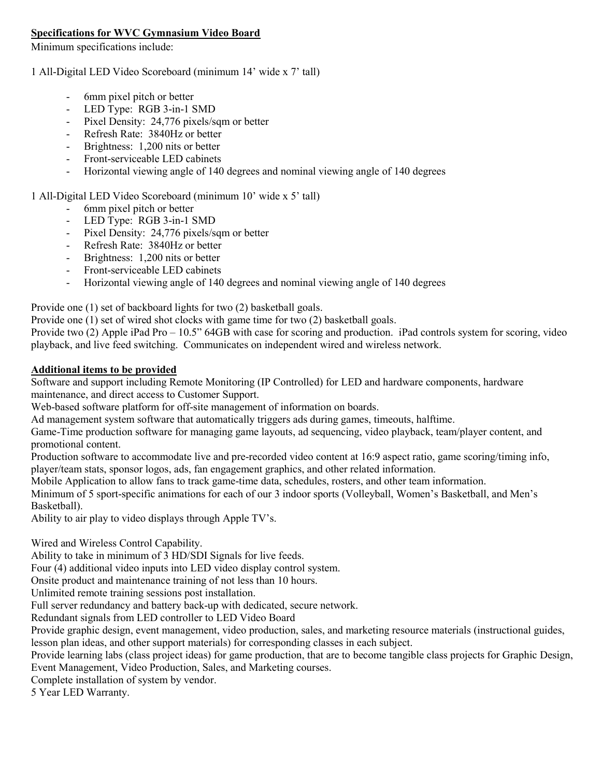# Specifications for WVC Gymnasium Video Board

Minimum specifications include:

### 1 All-Digital LED Video Scoreboard (minimum 14' wide x 7' tall)

- 6mm pixel pitch or better
- LED Type: RGB 3-in-1 SMD
- Pixel Density: 24,776 pixels/sqm or better
- Refresh Rate: 3840Hz or better
- Brightness: 1,200 nits or better
- Front-serviceable LED cabinets
- Horizontal viewing angle of 140 degrees and nominal viewing angle of 140 degrees

# 1 All-Digital LED Video Scoreboard (minimum 10' wide x 5' tall)

- 6mm pixel pitch or better
- LED Type: RGB 3-in-1 SMD
- Pixel Density: 24,776 pixels/sqm or better
- Refresh Rate: 3840Hz or better
- Brightness: 1,200 nits or better
- Front-serviceable LED cabinets
- Horizontal viewing angle of 140 degrees and nominal viewing angle of 140 degrees

Provide one (1) set of backboard lights for two (2) basketball goals.

Provide one (1) set of wired shot clocks with game time for two (2) basketball goals.

Provide two (2) Apple iPad Pro – 10.5" 64GB with case for scoring and production. iPad controls system for scoring, video playback, and live feed switching. Communicates on independent wired and wireless network.

# Additional items to be provided

Software and support including Remote Monitoring (IP Controlled) for LED and hardware components, hardware maintenance, and direct access to Customer Support.

Web-based software platform for off-site management of information on boards.

Ad management system software that automatically triggers ads during games, timeouts, halftime.

Game-Time production software for managing game layouts, ad sequencing, video playback, team/player content, and promotional content.

Production software to accommodate live and pre-recorded video content at 16:9 aspect ratio, game scoring/timing info, player/team stats, sponsor logos, ads, fan engagement graphics, and other related information.

Mobile Application to allow fans to track game-time data, schedules, rosters, and other team information.

Minimum of 5 sport-specific animations for each of our 3 indoor sports (Volleyball, Women's Basketball, and Men's Basketball).

Ability to air play to video displays through Apple TV's.

Wired and Wireless Control Capability.

Ability to take in minimum of 3 HD/SDI Signals for live feeds.

Four (4) additional video inputs into LED video display control system.

Onsite product and maintenance training of not less than 10 hours.

Unlimited remote training sessions post installation.

Full server redundancy and battery back-up with dedicated, secure network.

Redundant signals from LED controller to LED Video Board

Provide graphic design, event management, video production, sales, and marketing resource materials (instructional guides, lesson plan ideas, and other support materials) for corresponding classes in each subject.

Provide learning labs (class project ideas) for game production, that are to become tangible class projects for Graphic Design, Event Management, Video Production, Sales, and Marketing courses.

Complete installation of system by vendor.

5 Year LED Warranty.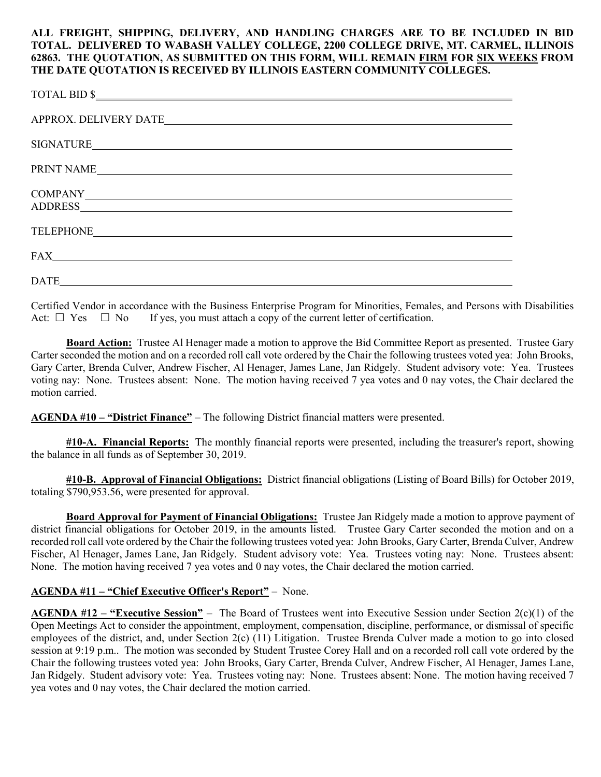## ALL FREIGHT, SHIPPING, DELIVERY, AND HANDLING CHARGES ARE TO BE INCLUDED IN BID TOTAL. DELIVERED TO WABASH VALLEY COLLEGE, 2200 COLLEGE DRIVE, MT. CARMEL, ILLINOIS 62863. THE QUOTATION, AS SUBMITTED ON THIS FORM, WILL REMAIN FIRM FOR SIX WEEKS FROM THE DATE QUOTATION IS RECEIVED BY ILLINOIS EASTERN COMMUNITY COLLEGES.

| TOTAL BID \$                                                                                                   |
|----------------------------------------------------------------------------------------------------------------|
|                                                                                                                |
| SIGNATURE                                                                                                      |
| PRINT NAME                                                                                                     |
| ADDRESS AND AREA AND AND ANNUAL AND ANNUAL AND ANNUAL AND ANNUAL AND ANNUAL AND ANNUAL AND ANNUAL AND ANNUAL A |
|                                                                                                                |
| FAX<br><u> 1980 - Andrea Stadt Britain, fransk politik (d. 1980)</u>                                           |
|                                                                                                                |

Certified Vendor in accordance with the Business Enterprise Program for Minorities, Females, and Persons with Disabilities Act:  $\Box$  Yes  $\Box$  No If yes, you must attach a copy of the current letter of certification.

**Board Action:** Trustee Al Henager made a motion to approve the Bid Committee Report as presented. Trustee Gary Carter seconded the motion and on a recorded roll call vote ordered by the Chair the following trustees voted yea: John Brooks, Gary Carter, Brenda Culver, Andrew Fischer, Al Henager, James Lane, Jan Ridgely. Student advisory vote: Yea. Trustees voting nay: None. Trustees absent: None. The motion having received 7 yea votes and 0 nay votes, the Chair declared the motion carried.

AGENDA #10 – "District Finance" – The following District financial matters were presented.

#10-A. Financial Reports: The monthly financial reports were presented, including the treasurer's report, showing the balance in all funds as of September 30, 2019.

#10-B. Approval of Financial Obligations: District financial obligations (Listing of Board Bills) for October 2019, totaling \$790,953.56, were presented for approval.

**Board Approval for Payment of Financial Obligations:** Trustee Jan Ridgely made a motion to approve payment of district financial obligations for October 2019, in the amounts listed. Trustee Gary Carter seconded the motion and on a recorded roll call vote ordered by the Chair the following trustees voted yea: John Brooks, Gary Carter, Brenda Culver, Andrew Fischer, Al Henager, James Lane, Jan Ridgely. Student advisory vote: Yea. Trustees voting nay: None. Trustees absent: None. The motion having received 7 yea votes and 0 nay votes, the Chair declared the motion carried.

# AGENDA #11 – "Chief Executive Officer's Report" – None.

AGENDA #12 – "Executive Session" – The Board of Trustees went into Executive Session under Section  $2(c)(1)$  of the Open Meetings Act to consider the appointment, employment, compensation, discipline, performance, or dismissal of specific employees of the district, and, under Section 2(c) (11) Litigation. Trustee Brenda Culver made a motion to go into closed session at 9:19 p.m.. The motion was seconded by Student Trustee Corey Hall and on a recorded roll call vote ordered by the Chair the following trustees voted yea: John Brooks, Gary Carter, Brenda Culver, Andrew Fischer, Al Henager, James Lane, Jan Ridgely. Student advisory vote: Yea. Trustees voting nay: None. Trustees absent: None. The motion having received 7 yea votes and 0 nay votes, the Chair declared the motion carried.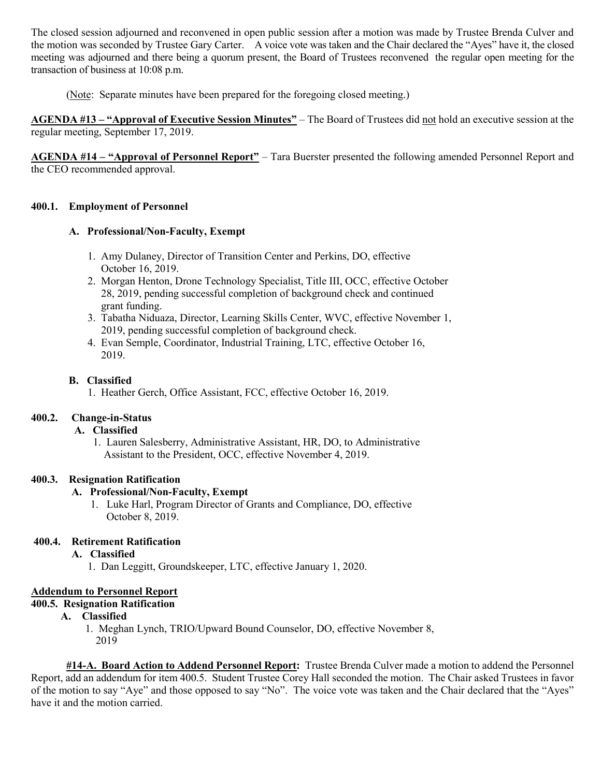The closed session adjourned and reconvened in open public session after a motion was made by Trustee Brenda Culver and the motion was seconded by Trustee Gary Carter. A voice vote was taken and the Chair declared the "Ayes" have it, the closed meeting was adjourned and there being a quorum present, the Board of Trustees reconvened the regular open meeting for the transaction of business at 10:08 p.m.

(Note: Separate minutes have been prepared for the foregoing closed meeting.)

AGENDA #13 – "Approval of Executive Session Minutes" – The Board of Trustees did not hold an executive session at the regular meeting, September 17, 2019.

AGENDA #14 – "Approval of Personnel Report" – Tara Buerster presented the following amended Personnel Report and the CEO recommended approval.

# 400.1. Employment of Personnel

# A. Professional/Non-Faculty, Exempt

- 1. Amy Dulaney, Director of Transition Center and Perkins, DO, effective October 16, 2019.
- 2. Morgan Henton, Drone Technology Specialist, Title III, OCC, effective October 28, 2019, pending successful completion of background check and continued grant funding.
- 3. Tabatha Niduaza, Director, Learning Skills Center, WVC, effective November 1, 2019, pending successful completion of background check.
- 4. Evan Semple, Coordinator, Industrial Training, LTC, effective October 16, 2019.

# B. Classified

1. Heather Gerch, Office Assistant, FCC, effective October 16, 2019.

# 400.2. Change-in-Status

### A. Classified

 1. Lauren Salesberry, Administrative Assistant, HR, DO, to Administrative Assistant to the President, OCC, effective November 4, 2019.

### 400.3. Resignation Ratification

# A. Professional/Non-Faculty, Exempt

 1. Luke Harl, Program Director of Grants and Compliance, DO, effective October 8, 2019.

# 400.4. Retirement Ratification

# A. Classified

1. Dan Leggitt, Groundskeeper, LTC, effective January 1, 2020.

### Addendum to Personnel Report

# 400.5. Resignation Ratification

# A. Classified

 1. Meghan Lynch, TRIO/Upward Bound Counselor, DO, effective November 8, 2019

 #14-A. Board Action to Addend Personnel Report: Trustee Brenda Culver made a motion to addend the Personnel Report, add an addendum for item 400.5. Student Trustee Corey Hall seconded the motion. The Chair asked Trustees in favor of the motion to say "Aye" and those opposed to say "No". The voice vote was taken and the Chair declared that the "Ayes" have it and the motion carried.